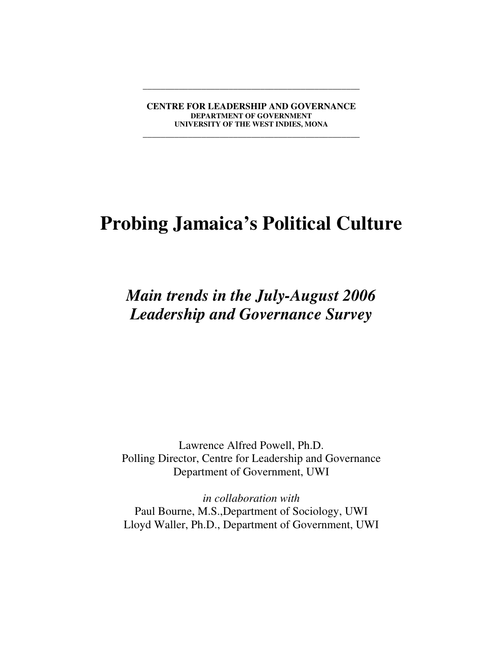**CENTRE FOR LEADERSHIP AND GOVERNANCE DEPARTMENT OF GOVERNMENT UNIVERSITY OF THE WEST INDIES, MONA**

**\_\_\_\_\_\_\_\_\_\_\_\_\_\_\_\_\_\_\_\_\_\_\_\_\_\_\_\_\_\_\_\_\_\_\_\_\_\_\_\_\_\_\_\_\_\_\_\_**

**\_\_\_\_\_\_\_\_\_\_\_\_\_\_\_\_\_\_\_\_\_\_\_\_\_\_\_\_\_\_\_\_\_\_\_\_\_\_\_\_\_\_\_\_\_\_\_\_**

# **Probing Jamaica's Political Culture**

*Main trends in the July-August 2006 Leadership and Governance Survey*

Lawrence Alfred Powell, Ph.D. Polling Director, Centre for Leadership and Governance Department of Government, UWI

*in collaboration with* Paul Bourne, M.S.,Department of Sociology, UWI Lloyd Waller, Ph.D., Department of Government, UWI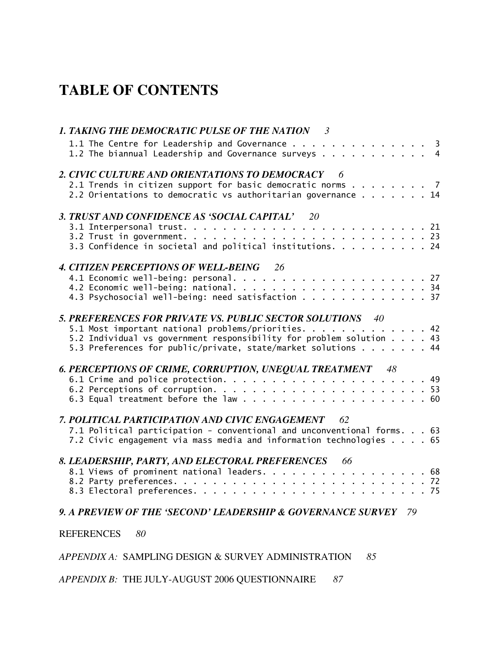### **TABLE OF CONTENTS**

| 1. TAKING THE DEMOCRATIC PULSE OF THE NATION 3                                                                              |
|-----------------------------------------------------------------------------------------------------------------------------|
| 1.1 The Centre for Leadership and Governance 3<br>1.2 The biannual Leadership and Governance surveys 4                      |
| 2. CIVIC CULTURE AND ORIENTATIONS TO DEMOCRACY 6                                                                            |
| 2.1 Trends in citizen support for basic democratic norms 7<br>2.2 Orientations to democratic vs authoritarian governance 14 |
| 3. TRUST AND CONFIDENCE AS 'SOCIAL CAPITAL' 20                                                                              |
|                                                                                                                             |
|                                                                                                                             |
| 3.3 Confidence in societal and political institutions. 24                                                                   |
| 4. CITIZEN PERCEPTIONS OF WELL-BEING 26                                                                                     |
|                                                                                                                             |
|                                                                                                                             |
| 4.3 Psychosocial well-being: need satisfaction 37                                                                           |
| 5. PREFERENCES FOR PRIVATE VS. PUBLIC SECTOR SOLUTIONS 40                                                                   |
| 5.1 Most important national problems/priorities. 42                                                                         |
| 5.2 Individual vs government responsibility for problem solution 43                                                         |
| 5.3 Preferences for public/private, state/market solutions 44                                                               |
| <b>6. PERCEPTIONS OF CRIME, CORRUPTION, UNEQUAL TREATMENT 48</b>                                                            |
|                                                                                                                             |
|                                                                                                                             |
|                                                                                                                             |
| 7. POLITICAL PARTICIPATION AND CIVIC ENGAGEMENT 62                                                                          |
| 7.1 Political participation - conventional and unconventional forms. 63                                                     |
| 7.2 Civic engagement via mass media and information technologies 65                                                         |
| 8. LEADERSHIP, PARTY, AND ELECTORAL PREFERENCES 66                                                                          |
| 8.1 Views of prominent national leaders. 68                                                                                 |
|                                                                                                                             |
|                                                                                                                             |
| 9. A PREVIEW OF THE 'SECOND' LEADERSHIP & GOVERNANCE SURVEY 79                                                              |
| <b>REFERENCES</b><br>80                                                                                                     |

#### *APPENDIX A:* SAMPLING DESIGN & SURVEY ADMINISTRATION *85*

*APPENDIX B:* THE JULY-AUGUST 2006 QUESTIONNAIRE *87*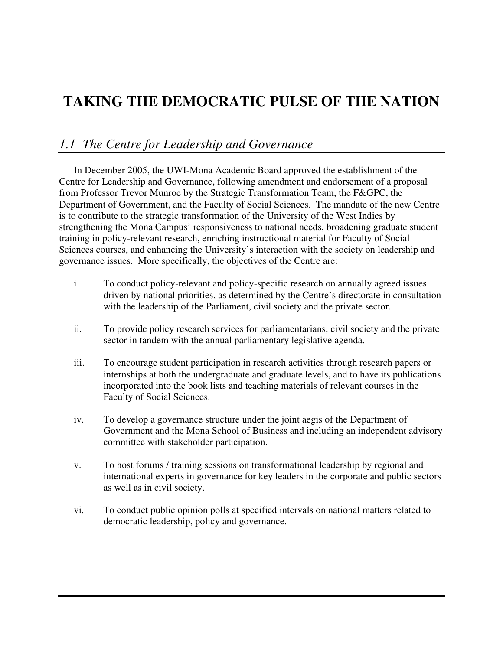### **TAKING THE DEMOCRATIC PULSE OF THE NATION**

### *1.1 The Centre for Leadership and Governance*

In December 2005, the UWI-Mona Academic Board approved the establishment of the Centre for Leadership and Governance, following amendment and endorsement of a proposal from Professor Trevor Munroe by the Strategic Transformation Team, the F&GPC, the Department of Government, and the Faculty of Social Sciences. The mandate of the new Centre is to contribute to the strategic transformation of the University of the West Indies by strengthening the Mona Campus' responsiveness to national needs, broadening graduate student training in policy-relevant research, enriching instructional material for Faculty of Social Sciences courses, and enhancing the University's interaction with the society on leadership and governance issues. More specifically, the objectives of the Centre are:

- i. To conduct policy-relevant and policy-specific research on annually agreed issues driven by national priorities, as determined by the Centre's directorate in consultation with the leadership of the Parliament, civil society and the private sector.
- ii. To provide policy research services for parliamentarians, civil society and the private sector in tandem with the annual parliamentary legislative agenda.
- iii. To encourage student participation in research activities through research papers or internships at both the undergraduate and graduate levels, and to have its publications incorporated into the book lists and teaching materials of relevant courses in the Faculty of Social Sciences.
- iv. To develop a governance structure under the joint aegis of the Department of Government and the Mona School of Business and including an independent advisory committee with stakeholder participation.
- v. To host forums / training sessions on transformational leadership by regional and international experts in governance for key leaders in the corporate and public sectors as well as in civil society.
- vi. To conduct public opinion polls at specified intervals on national matters related to democratic leadership, policy and governance.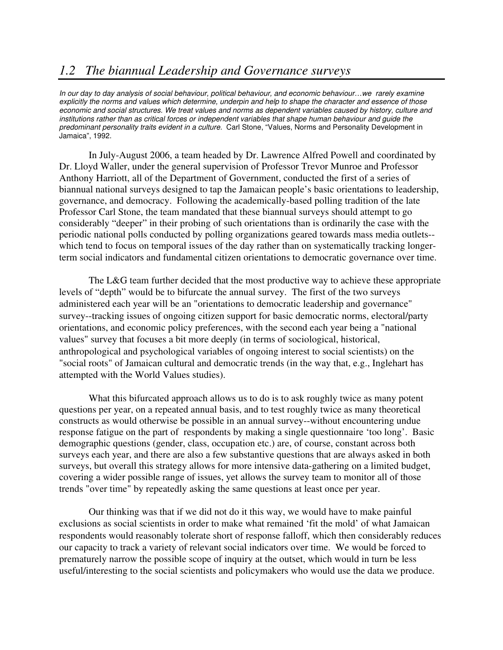### *1.2 The biannual Leadership and Governance surveys*

*In our day to day analysis of social behaviour, political behaviour, and economic behaviour…we rarely examine* explicitly the norms and values which determine, underpin and help to shape the character and essence of those economic and social structures. We treat values and norms as dependent variables caused by history, culture and *institutions rather than as critical forces or independent variables that shape human behaviour and guide the predominant personality traits evident in a culture.* Carl Stone, "Values, Norms and Personality Development in Jamaica", 1992.

In July-August 2006, a team headed by Dr. Lawrence Alfred Powell and coordinated by Dr. Lloyd Waller, under the general supervision of Professor Trevor Munroe and Professor Anthony Harriott, all of the Department of Government, conducted the first of a series of biannual national surveys designed to tap the Jamaican people's basic orientations to leadership, governance, and democracy. Following the academically-based polling tradition of the late Professor Carl Stone, the team mandated that these biannual surveys should attempt to go considerably "deeper" in their probing of such orientations than is ordinarily the case with the periodic national polls conducted by polling organizations geared towards mass media outlets- which tend to focus on temporal issues of the day rather than on systematically tracking longerterm social indicators and fundamental citizen orientations to democratic governance over time.

The L&G team further decided that the most productive way to achieve these appropriate levels of "depth" would be to bifurcate the annual survey. The first of the two surveys administered each year will be an "orientations to democratic leadership and governance" survey--tracking issues of ongoing citizen support for basic democratic norms, electoral/party orientations, and economic policy preferences, with the second each year being a "national values" survey that focuses a bit more deeply (in terms of sociological, historical, anthropological and psychological variables of ongoing interest to social scientists) on the "social roots" of Jamaican cultural and democratic trends (in the way that, e.g., Inglehart has attempted with the World Values studies).

What this bifurcated approach allows us to do is to ask roughly twice as many potent questions per year, on a repeated annual basis, and to test roughly twice as many theoretical constructs as would otherwise be possible in an annual survey--without encountering undue response fatigue on the part of respondents by making a single questionnaire 'too long'. Basic demographic questions (gender, class, occupation etc.) are, of course, constant across both surveys each year, and there are also a few substantive questions that are always asked in both surveys, but overall this strategy allows for more intensive data-gathering on a limited budget, covering a wider possible range of issues, yet allows the survey team to monitor all of those trends "over time" by repeatedly asking the same questions at least once per year.

Our thinking was that if we did not do it this way, we would have to make painful exclusions as social scientists in order to make what remained 'fit the mold' of what Jamaican respondents would reasonably tolerate short of response falloff, which then considerably reduces our capacity to track a variety of relevant social indicators over time. We would be forced to prematurely narrow the possible scope of inquiry at the outset, which would in turn be less useful/interesting to the social scientists and policymakers who would use the data we produce.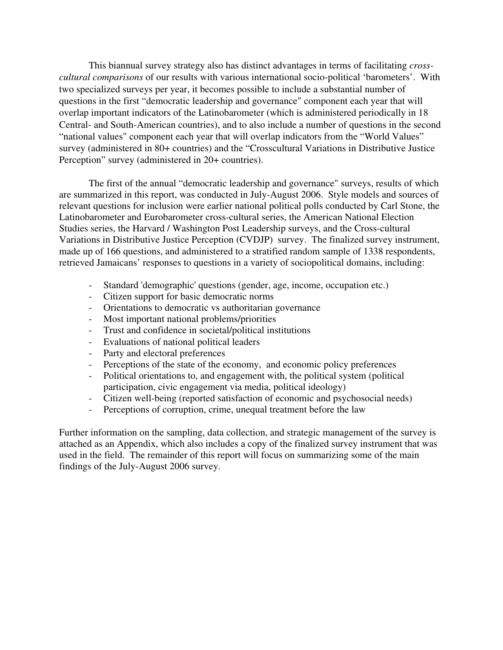This biannual survey strategy also has distinct advantages in terms of facilitating *crosscultural comparisons* of our results with various international socio-political 'barometers'. With two specialized surveys per year, it becomes possible to include a substantial number of questions in the first "democratic leadership and governance" component each year that will overlap important indicators of the Latinobarometer (which is administered periodically in 18 Central- and South-American countries), and to also include a number of questions in the second "national values" component each year that will overlap indicators from the "World Values" survey (administered in 80+ countries) and the "Crosscultural Variations in Distributive Justice Perception" survey (administered in 20+ countries).

The first of the annual "democratic leadership and governance" surveys, results of which are summarized in this report, was conducted in July-August 2006. Style models and sources of relevant questions for inclusion were earlier national political polls conducted by Carl Stone, the Latinobarometer and Eurobarometer cross-cultural series, the American National Election Studies series, the Harvard / Washington Post Leadership surveys, and the Cross-cultural Variations in Distributive Justice Perception (CVDJP) survey. The finalized survey instrument, made up of 166 questions, and administered to a stratified random sample of 1338 respondents, retrieved Jamaicans' responses to questions in a variety of sociopolitical domains, including:

- Standard 'demographic' questions (gender, age, income, occupation etc.)
- Citizen support for basic democratic norms
- Orientations to democratic vs authoritarian governance
- Most important national problems/priorities
- Trust and confidence in societal/political institutions
- Evaluations of national political leaders
- Party and electoral preferences
- Perceptions of the state of the economy, and economic policy preferences
- Political orientations to, and engagement with, the political system (political participation, civic engagement via media, political ideology)
- Citizen well-being (reported satisfaction of economic and psychosocial needs)
- Perceptions of corruption, crime, unequal treatment before the law

Further information on the sampling, data collection, and strategic management of the survey is attached as an Appendix, which also includes a copy of the finalized survey instrument that was used in the field. The remainder of this report will focus on summarizing some of the main findings of the July-August 2006 survey.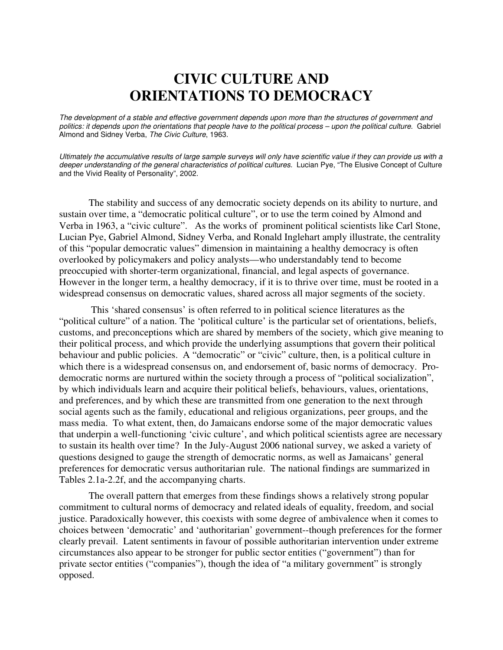### **CIVIC CULTURE AND ORIENTATIONS TO DEMOCRACY**

The development of a stable and effective government depends upon more than the structures of government and politics: it depends upon the orientations that people have to the political process - upon the political culture. Gabriel Almond and Sidney Verba, *The Civic Culture*, 1963.

Ultimately the accumulative results of large sample surveys will only have scientific value if they can provide us with a *deeper understanding of the general characteristics of political cultures.* Lucian Pye, "The Elusive Concept of Culture and the Vivid Reality of Personality", 2002.

The stability and success of any democratic society depends on its ability to nurture, and sustain over time, a "democratic political culture", or to use the term coined by Almond and Verba in 1963, a "civic culture". As the works of prominent political scientists like Carl Stone, Lucian Pye, Gabriel Almond, Sidney Verba, and Ronald Inglehart amply illustrate, the centrality of this "popular democratic values" dimension in maintaining a healthy democracy is often overlooked by policymakers and policy analysts—who understandably tend to become preoccupied with shorter-term organizational, financial, and legal aspects of governance. However in the longer term, a healthy democracy, if it is to thrive over time, must be rooted in a widespread consensus on democratic values, shared across all major segments of the society.

This 'shared consensus' is often referred to in political science literatures as the "political culture" of a nation. The 'political culture' is the particular set of orientations, beliefs, customs, and preconceptions which are shared by members of the society, which give meaning to their political process, and which provide the underlying assumptions that govern their political behaviour and public policies. A "democratic" or "civic" culture, then, is a political culture in which there is a widespread consensus on, and endorsement of, basic norms of democracy. Prodemocratic norms are nurtured within the society through a process of "political socialization", by which individuals learn and acquire their political beliefs, behaviours, values, orientations, and preferences, and by which these are transmitted from one generation to the next through social agents such as the family, educational and religious organizations, peer groups, and the mass media. To what extent, then, do Jamaicans endorse some of the major democratic values that underpin a well-functioning 'civic culture', and which political scientists agree are necessary to sustain its health over time? In the July-August 2006 national survey, we asked a variety of questions designed to gauge the strength of democratic norms, as well as Jamaicans' general preferences for democratic versus authoritarian rule. The national findings are summarized in Tables 2.1a-2.2f, and the accompanying charts.

The overall pattern that emerges from these findings shows a relatively strong popular commitment to cultural norms of democracy and related ideals of equality, freedom, and social justice. Paradoxically however, this coexists with some degree of ambivalence when it comes to choices between 'democratic' and 'authoritarian' government--though preferences for the former clearly prevail. Latent sentiments in favour of possible authoritarian intervention under extreme circumstances also appear to be stronger for public sector entities ("government") than for private sector entities ("companies"), though the idea of "a military government" is strongly opposed.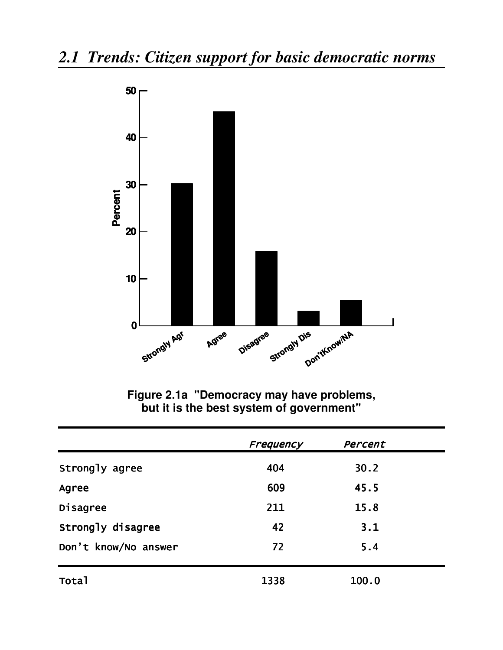

Figure 2.1a "Democracy may have problems,<br>but it is the best system of government"

|                      | Frequency | Percent |  |
|----------------------|-----------|---------|--|
| Strongly agree       | 404       | 30.2    |  |
| Agree                | 609       | 45.5    |  |
| Disagree             | 211       | 15.8    |  |
| Strongly disagree    | 42        | 3.1     |  |
| Don't know/No answer | 72        | 5.4     |  |
| Total                | 1338      | 100.0   |  |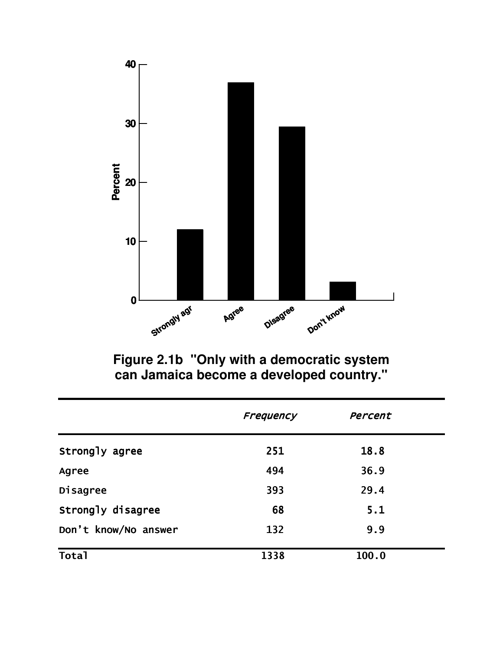

Figure 2.1b "Only with a democratic system<br>can Jamaica become a developed country."

|                      | Frequency | Percent |  |
|----------------------|-----------|---------|--|
| Strongly agree       | 251       | 18.8    |  |
| Agree                | 494       | 36.9    |  |
| Disagree             | 393       | 29.4    |  |
| Strongly disagree    | 68        | 5.1     |  |
| Don't know/No answer | 132       | 9.9     |  |
| <b>Total</b>         | 1338      | 100.0   |  |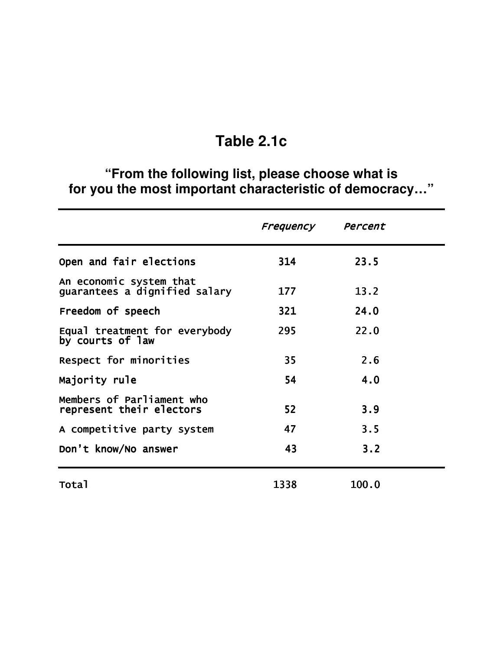## Table 2.1c

# "From the following list, please choose what is<br>for you the most important characteristic of democracy..."

|                                                          | Frequency | Percent |  |
|----------------------------------------------------------|-----------|---------|--|
| Open and fair elections                                  | 314       | 23.5    |  |
| An economic system that<br>guarantees a dignified salary | 177       | 13.2    |  |
| Freedom of speech                                        | 321       | 24.0    |  |
| Equal treatment for everybody<br>by courts of law        | 295       | 22.0    |  |
| Respect for minorities                                   | 35        | 2.6     |  |
| Majority rule                                            | 54        | 4.0     |  |
| Members of Parliament who<br>represent their electors    | 52        | 3.9     |  |
| A competitive party system                               | 47        | 3.5     |  |
| Don't know/No answer                                     | 43        | 3.2     |  |
| <b>Total</b>                                             | 1338      | 100.0   |  |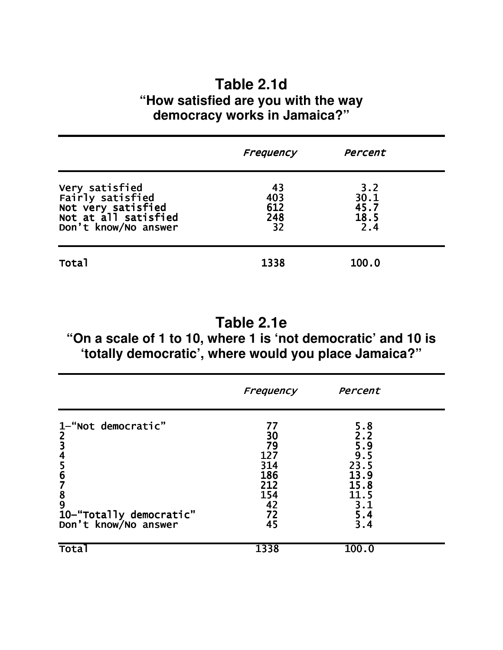### **Table 2.1d "How satisfied are you with the way democracy works in Jamaica?"**

|                                                                                                                    | Frequency                     | Percent                            |  |
|--------------------------------------------------------------------------------------------------------------------|-------------------------------|------------------------------------|--|
| <b>Very satisfied<br/>Fairly satisfied<br/>Not very satisfied<br/>Not at all satisfied</b><br>Don't know/No answer | 43<br>403<br>612<br>248<br>32 | 3.2<br>30.1<br>45.7<br>18.5<br>2.4 |  |
| <b>Total</b>                                                                                                       | 1338                          | 100.0                              |  |

### **Table 2.1e**

### **"On a scale of 1 to 10, where 1 is 'not democratic' and 10 is 'totally democratic', where would you place Jamaica?"**

|                                            | Frequency | Percent    |  |
|--------------------------------------------|-----------|------------|--|
| 1-"Not democratic"                         | 77        | 5.8        |  |
| $\begin{array}{c} 2 \\ 3 \\ 4 \end{array}$ | 30        | 2.2        |  |
|                                            | 79<br>127 | 5.9<br>9.5 |  |
|                                            | 314       | 23.5       |  |
| $\frac{5}{6}$                              | 186       | 13.9       |  |
|                                            | 212       | 15.8       |  |
| 7<br>8<br>9                                | 154       | 11.5       |  |
|                                            | 42        | 3.1        |  |
| 10-"Totally democratic"                    | 72        | 5.4        |  |
| Don't know/No answer                       | 45        | 3.4        |  |
| Tota                                       | 1338      | 100.0      |  |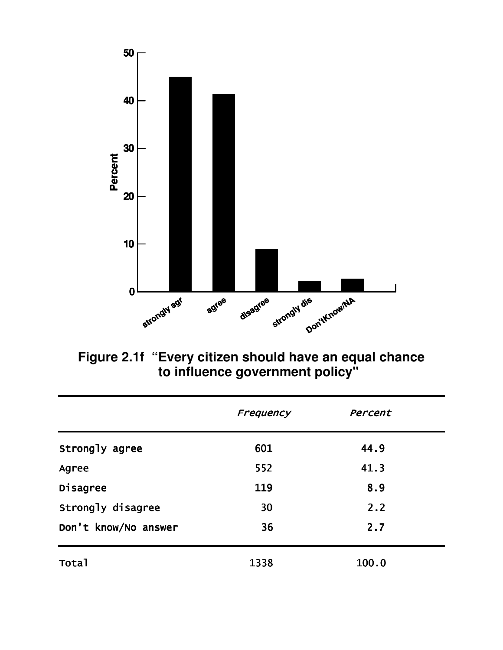

Figure 2.1f "Every citizen should have an equal chance<br>to influence government policy"

|                      | Frequency | Percent |  |
|----------------------|-----------|---------|--|
| Strongly agree       | 601       | 44.9    |  |
| Agree                | 552       | 41.3    |  |
| Disagree             | 119       | 8.9     |  |
| Strongly disagree    | 30        | 2.2     |  |
| Don't know/No answer | 36        | 2.7     |  |
| <b>Total</b>         | 1338      | 100.0   |  |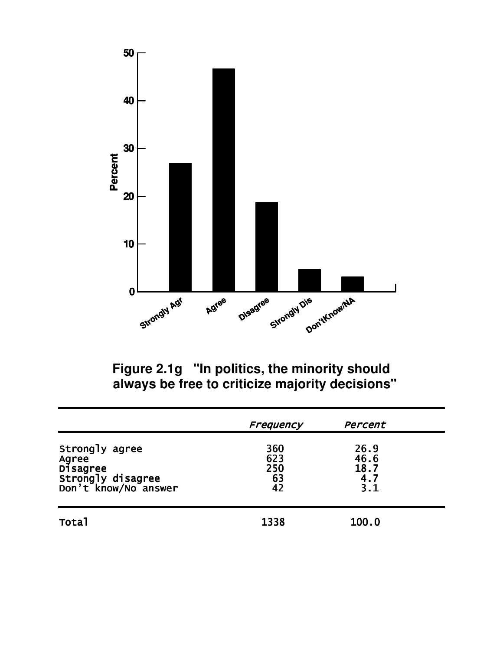

Figure 2.1g "In politics, the minority should always be free to criticize majority decisions"

|                                                                                  | Frequency                     | Percent                            |  |
|----------------------------------------------------------------------------------|-------------------------------|------------------------------------|--|
| Strongly agree<br>Agree<br>Disagree<br>Strongly disagree<br>Don't know/No answer | 360<br>623<br>250<br>63<br>42 | 26.9<br>46.6<br>18.7<br>4.7<br>3.1 |  |
| <b>Total</b>                                                                     | 1338                          | 100.0                              |  |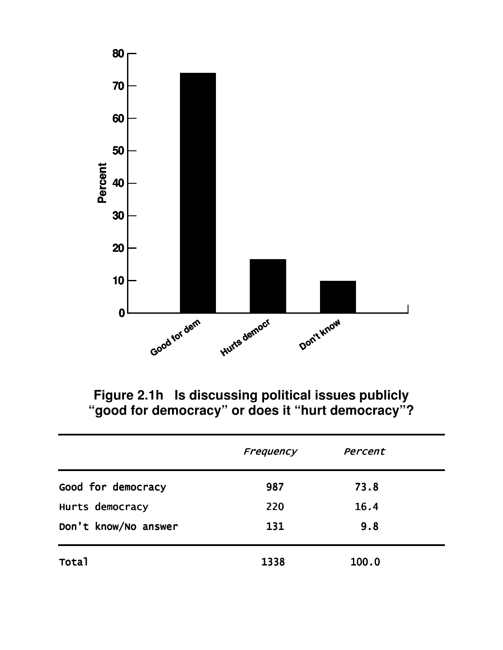

Figure 2.1h Is discussing political issues publicly<br>"good for democracy" or does it "hurt democracy"?

|                      | Frequency | Percent |  |
|----------------------|-----------|---------|--|
| Good for democracy   | 987       | 73.8    |  |
| Hurts democracy      | 220       | 16.4    |  |
| Don't know/No answer | 131       | 9.8     |  |
| Total                | 1338      | 100.0   |  |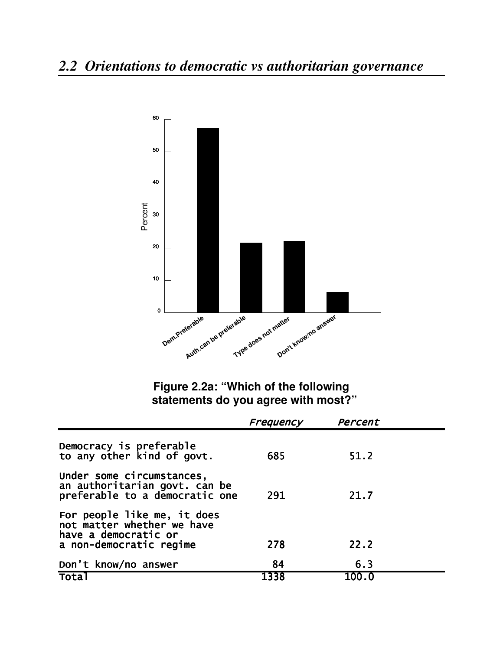

Figure 2.2a: "Which of the following statements do you agree with most?"

|                                                                                                              | Frequency | Percent |  |
|--------------------------------------------------------------------------------------------------------------|-----------|---------|--|
| Democracy is preferable<br>to any other kind of govt.                                                        | 685       | 51.2    |  |
| Under some circumstances,<br>an authoritarian govt. can be<br>preferable to a democratic one                 | 291       | 21.7    |  |
| For people like me, it does<br>not matter whether we have<br>have a democratic or<br>a non-democratic regime | 278       | 22.2    |  |
| Don't know/no answer                                                                                         | 84        | 6.3     |  |
| <b>Total</b>                                                                                                 | 1338      | 100.0   |  |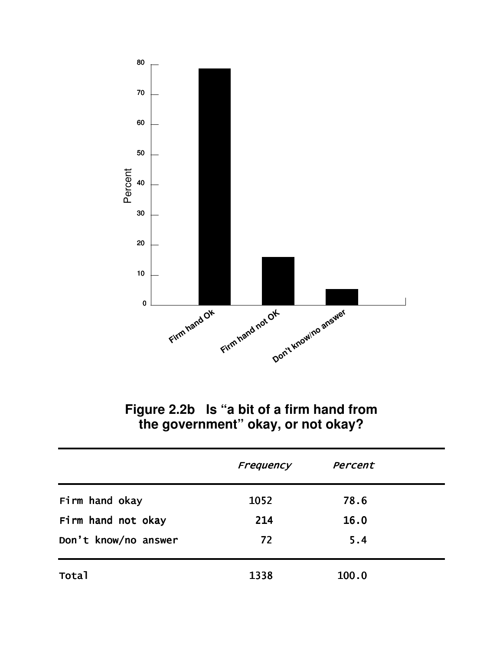

Figure 2.2b Is "a bit of a firm hand from<br>the government" okay, or not okay?

|                      | Frequency | Percent |  |
|----------------------|-----------|---------|--|
| Firm hand okay       | 1052      | 78.6    |  |
| Firm hand not okay   | 214       | 16.0    |  |
| Don't know/no answer | 72        | 5.4     |  |
| Total                | 1338      | 100.0   |  |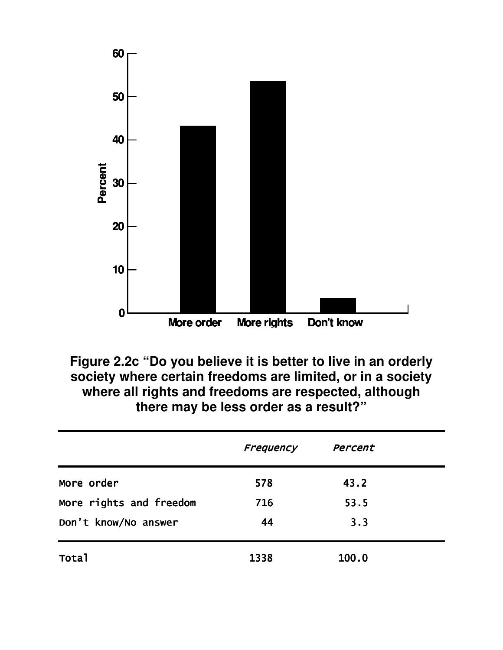

Figure 2.2c "Do you believe it is better to live in an orderly society where certain freedoms are limited, or in a society where all rights and freedoms are respected, although there may be less order as a result?"

|                         | Frequency | Percent |  |
|-------------------------|-----------|---------|--|
| More order              | 578       | 43.2    |  |
| More rights and freedom | 716       | 53.5    |  |
| Don't know/No answer    | 44        | 3.3     |  |
| Total                   | 1338      | 100.0   |  |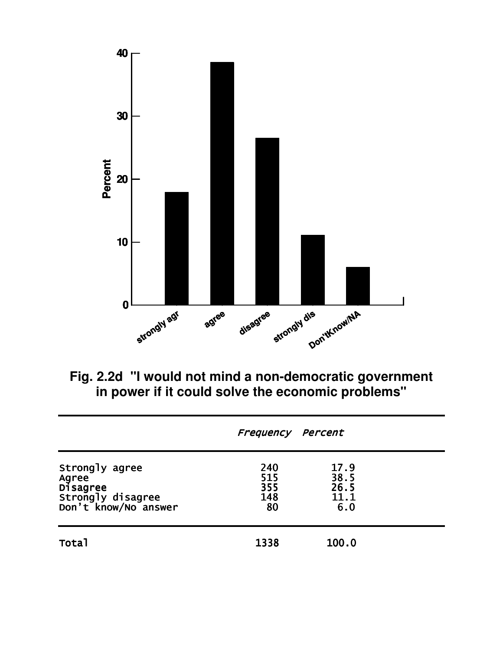

Fig. 2.2d "I would not mind a non-democratic government<br>in power if it could solve the economic problems"

|                                                                                  | Frequency Percent              |                                     |  |
|----------------------------------------------------------------------------------|--------------------------------|-------------------------------------|--|
| Strongly agree<br>Agree<br>Disagree<br>Strongly disagree<br>Don't know/No answer | 240<br>515<br>355<br>148<br>80 | 17.9<br>38.5<br>26.5<br>11.1<br>6.0 |  |
| Total                                                                            | 1338                           | 100.0                               |  |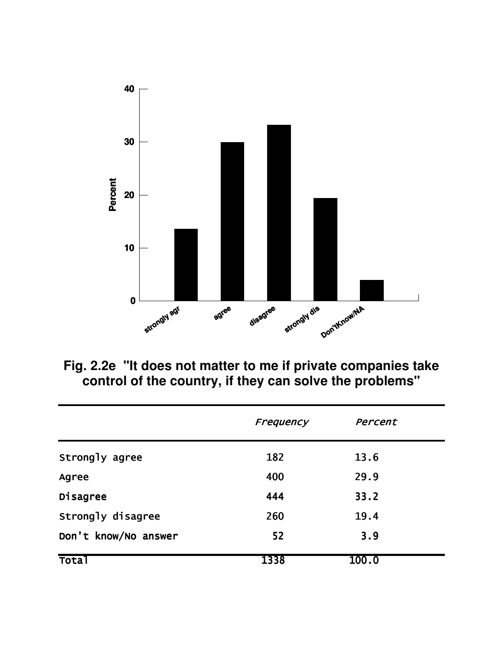

Fig. 2.2e "It does not matter to me if private companies take control of the country, if they can solve the problems"

|                      | Frequency | Percent |
|----------------------|-----------|---------|
| Strongly agree       | 182       | 13.6    |
| Agree                | 400       | 29.9    |
| Disagree             | 444       | 33.2    |
| Strongly disagree    | 260       | 19.4    |
| Don't know/No answer | 52        | 3.9     |
| Tota`                | 1338      | 100.0   |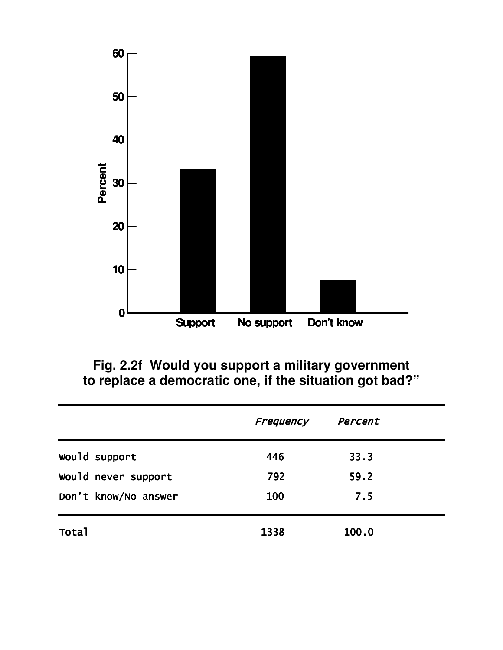

Fig. 2.2f Would you support a military government<br>to replace a democratic one, if the situation got bad?"

|                      | Frequency | Percent |  |
|----------------------|-----------|---------|--|
| Would support        | 446       | 33.3    |  |
| would never support  | 792       | 59.2    |  |
| Don't know/No answer | 100       | 7.5     |  |
| Total                | 1338      | 100.0   |  |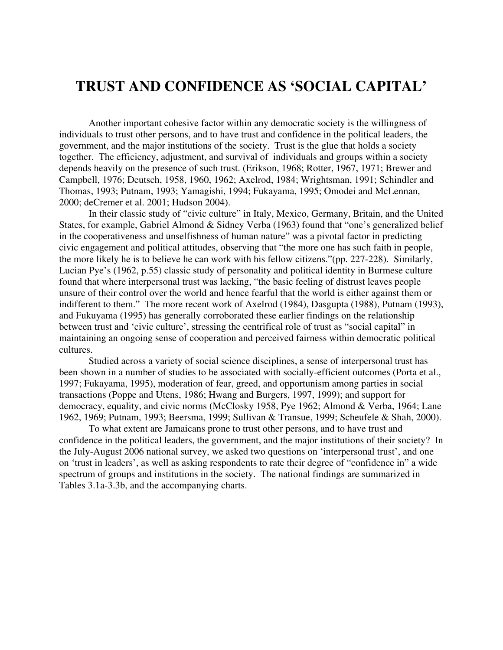### **TRUST AND CONFIDENCE AS 'SOCIAL CAPITAL'**

Another important cohesive factor within any democratic society is the willingness of individuals to trust other persons, and to have trust and confidence in the political leaders, the government, and the major institutions of the society. Trust is the glue that holds a society together. The efficiency, adjustment, and survival of individuals and groups within a society depends heavily on the presence of such trust. (Erikson, 1968; Rotter, 1967, 1971; Brewer and Campbell, 1976; Deutsch, 1958, 1960, 1962; Axelrod, 1984; Wrightsman, 1991; Schindler and Thomas, 1993; Putnam, 1993; Yamagishi, 1994; Fukayama, 1995; Omodei and McLennan, 2000; deCremer et al. 2001; Hudson 2004).

In their classic study of "civic culture" in Italy, Mexico, Germany, Britain, and the United States, for example, Gabriel Almond & Sidney Verba (1963) found that "one's generalized belief in the cooperativeness and unselfishness of human nature" was a pivotal factor in predicting civic engagement and political attitudes, observing that "the more one has such faith in people, the more likely he is to believe he can work with his fellow citizens."(pp. 227-228). Similarly, Lucian Pye's (1962, p.55) classic study of personality and political identity in Burmese culture found that where interpersonal trust was lacking, "the basic feeling of distrust leaves people unsure of their control over the world and hence fearful that the world is either against them or indifferent to them." The more recent work of Axelrod (1984), Dasgupta (1988), Putnam (1993), and Fukuyama (1995) has generally corroborated these earlier findings on the relationship between trust and 'civic culture', stressing the centrifical role of trust as "social capital" in maintaining an ongoing sense of cooperation and perceived fairness within democratic political cultures.

Studied across a variety of social science disciplines, a sense of interpersonal trust has been shown in a number of studies to be associated with socially-efficient outcomes (Porta et al., 1997; Fukayama, 1995), moderation of fear, greed, and opportunism among parties in social transactions (Poppe and Utens, 1986; Hwang and Burgers, 1997, 1999); and support for democracy, equality, and civic norms (McClosky 1958, Pye 1962; Almond & Verba, 1964; Lane 1962, 1969; Putnam, 1993; Beersma, 1999; Sullivan & Transue, 1999; Scheufele & Shah, 2000).

To what extent are Jamaicans prone to trust other persons, and to have trust and confidence in the political leaders, the government, and the major institutions of their society? In the July-August 2006 national survey, we asked two questions on 'interpersonal trust', and one on 'trust in leaders', as well as asking respondents to rate their degree of "confidence in" a wide spectrum of groups and institutions in the society. The national findings are summarized in Tables 3.1a-3.3b, and the accompanying charts.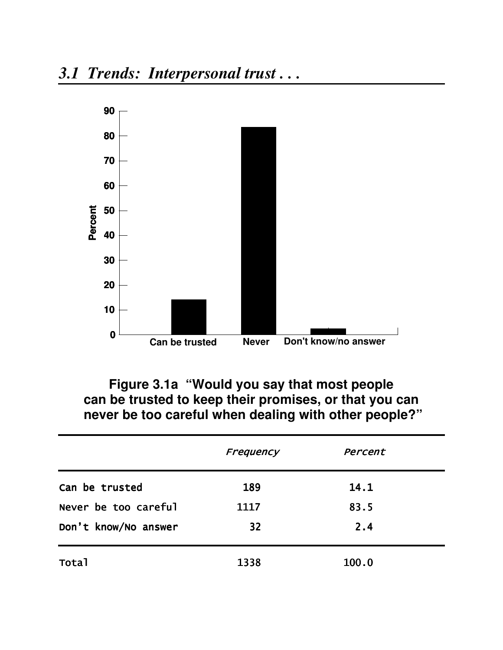

Figure 3.1a "Would you say that most people can be trusted to keep their promises, or that you can never be too careful when dealing with other people?"

|                      | Frequency | Percent |  |
|----------------------|-----------|---------|--|
| Can be trusted       | 189       | 14.1    |  |
| Never be too careful | 1117      | 83.5    |  |
| Don't know/No answer | 32        | 2.4     |  |
| <b>Total</b>         | 1338      | 100.0   |  |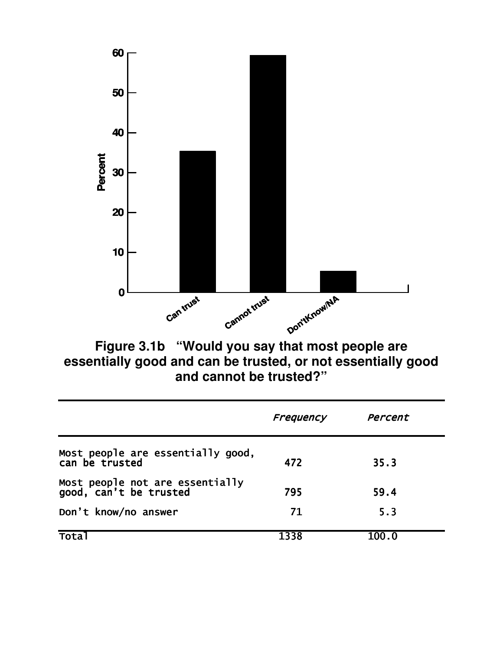

Figure 3.1b "Would you say that most people are<br>essentially good and can be trusted, or not essentially good and cannot be trusted?"

|                                                           | Frequency | Percent |  |
|-----------------------------------------------------------|-----------|---------|--|
| Most people are essentially good,<br>can be trusted       | 472       | 35.3    |  |
| Most people not are essentially<br>good, can't be trusted | 795       | 59.4    |  |
| Don't know/no answer                                      | 71        | 5.3     |  |
| Tota <sup>-</sup>                                         | 1338      | 100.0   |  |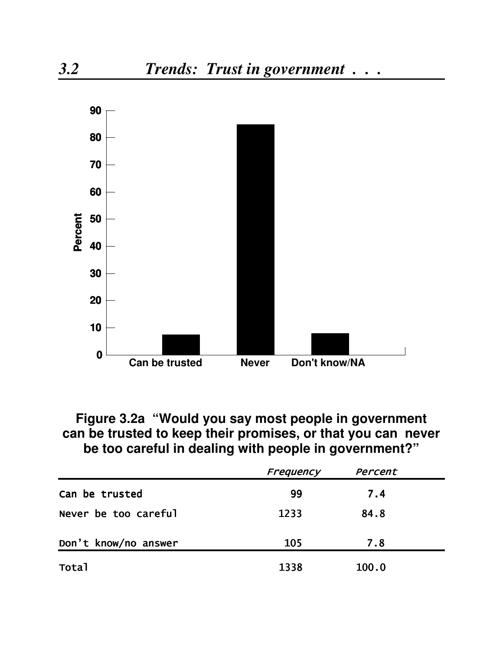

### Figure 3.2a "Would you say most people in government can be trusted to keep their promises, or that you can never be too careful in dealing with people in government?"

|                      | Frequency | Percent |  |
|----------------------|-----------|---------|--|
| Can be trusted       | 99        | 7.4     |  |
| Never be too careful | 1233      | 84.8    |  |
| Don't know/no answer | 105       | 7.8     |  |
| <b>Total</b>         | 1338      | 100.0   |  |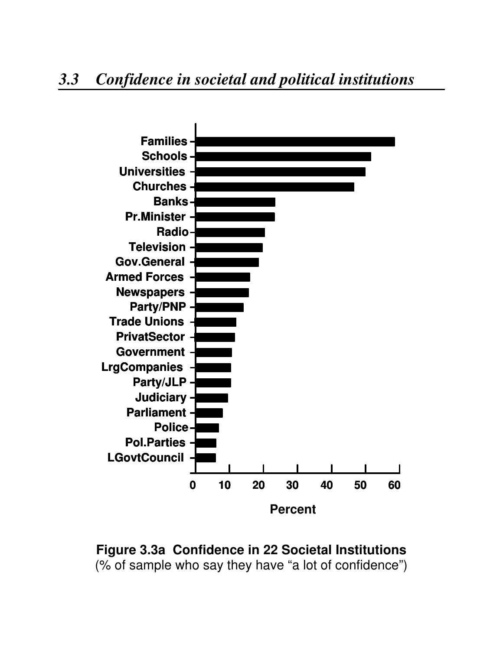## *3.3 Confidence in societal and political institutions*



**Figure 3.3a Confidence in 22 Societal Institutions** (% of sample who say they have "a lot of confidence")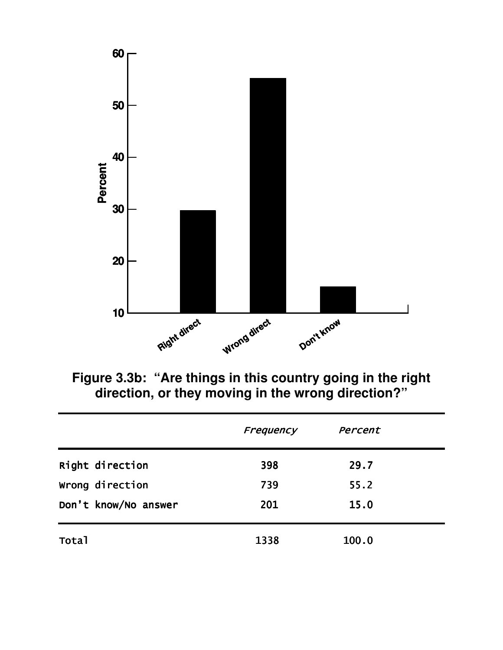

Figure 3.3b: "Are things in this country going in the right<br>direction, or they moving in the wrong direction?"

|                      | Frequency | Percent |  |
|----------------------|-----------|---------|--|
| Right direction      | 398       | 29.7    |  |
| Wrong direction      | 739       | 55.2    |  |
| Don't know/No answer | 201       | 15.0    |  |
| <b>Total</b>         | 1338      | 100.0   |  |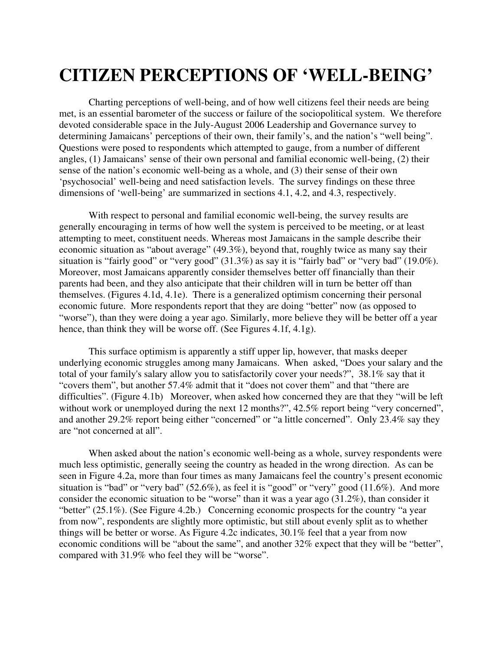## **CITIZEN PERCEPTIONS OF 'WELL-BEING'**

Charting perceptions of well-being, and of how well citizens feel their needs are being met, is an essential barometer of the success or failure of the sociopolitical system. We therefore devoted considerable space in the July-August 2006 Leadership and Governance survey to determining Jamaicans' perceptions of their own, their family's, and the nation's "well being". Questions were posed to respondents which attempted to gauge, from a number of different angles, (1) Jamaicans' sense of their own personal and familial economic well-being, (2) their sense of the nation's economic well-being as a whole, and (3) their sense of their own 'psychosocial' well-being and need satisfaction levels. The survey findings on these three dimensions of 'well-being' are summarized in sections 4.1, 4.2, and 4.3, respectively.

With respect to personal and familial economic well-being, the survey results are generally encouraging in terms of how well the system is perceived to be meeting, or at least attempting to meet, constituent needs. Whereas most Jamaicans in the sample describe their economic situation as "about average" (49.3%), beyond that, roughly twice as many say their situation is "fairly good" or "very good" (31.3%) as say it is "fairly bad" or "very bad" (19.0%). Moreover, most Jamaicans apparently consider themselves better off financially than their parents had been, and they also anticipate that their children will in turn be better off than themselves. (Figures 4.1d, 4.1e). There is a generalized optimism concerning their personal economic future. More respondents report that they are doing "better" now (as opposed to "worse"), than they were doing a year ago. Similarly, more believe they will be better off a year hence, than think they will be worse off. (See Figures 4.1f, 4.1g).

This surface optimism is apparently a stiff upper lip, however, that masks deeper underlying economic struggles among many Jamaicans. When asked, "Does your salary and the total of your family's salary allow you to satisfactorily cover your needs?", 38.1% say that it "covers them", but another 57.4% admit that it "does not cover them" and that "there are difficulties". (Figure 4.1b) Moreover, when asked how concerned they are that they "will be left" without work or unemployed during the next 12 months?", 42.5% report being "very concerned", and another 29.2% report being either "concerned" or "a little concerned". Only 23.4% say they are "not concerned at all".

When asked about the nation's economic well-being as a whole, survey respondents were much less optimistic, generally seeing the country as headed in the wrong direction. As can be seen in Figure 4.2a, more than four times as many Jamaicans feel the country's present economic situation is "bad" or "very bad" (52.6%), as feel it is "good" or "very" good (11.6%). And more consider the economic situation to be "worse" than it was a year ago (31.2%), than consider it "better" (25.1%). (See Figure 4.2b.) Concerning economic prospects for the country "a year from now", respondents are slightly more optimistic, but still about evenly split as to whether things will be better or worse. As Figure 4.2c indicates, 30.1% feel that a year from now economic conditions will be "about the same", and another 32% expect that they will be "better", compared with 31.9% who feel they will be "worse".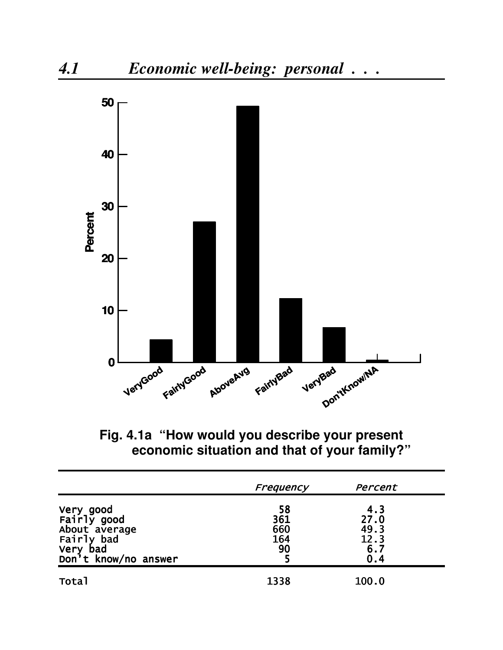

**Fig. 4.1a "How would you describe your present economic situation and that of your family?"**

|                                                                                             | Frequency                     | Percent                                   |
|---------------------------------------------------------------------------------------------|-------------------------------|-------------------------------------------|
| Very good<br>Fairly good<br>About average<br>Fairly bad<br>Very bad<br>Don't know/no answer | 58<br>361<br>660<br>164<br>90 | 4.3<br>27.0<br>49.3<br>12.3<br>6.7<br>0.4 |
| <b>Total</b>                                                                                | 1338                          | 100.0                                     |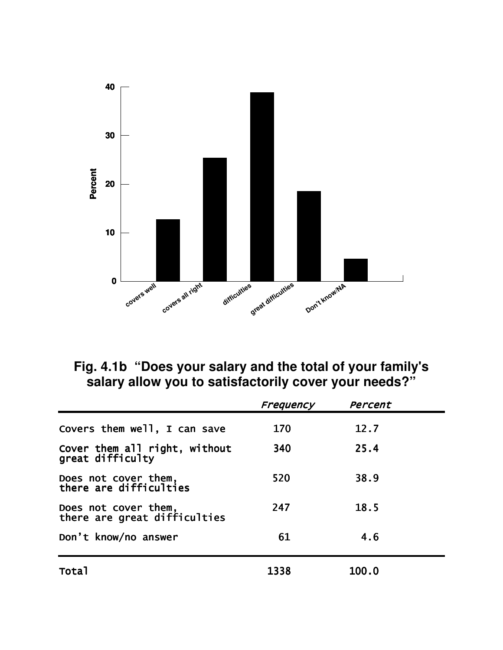

**Fig. 4.1b "Does your salary and the total of your family's salary allow you to satisfactorily cover your needs?"**

|                                                      | Frequency | Percent |  |
|------------------------------------------------------|-----------|---------|--|
| Covers them well, I can save                         | 170       | 12.7    |  |
| Cover them all right, without<br>great difficulty    | 340       | 25.4    |  |
| Does not cover them,<br>there are difficulties       | 520       | 38.9    |  |
| Does not cover them,<br>there are great difficulties | 247       | 18.5    |  |
| Don't know/no answer                                 | 61        | 4.6     |  |
| Total                                                | 1338      | 100.0   |  |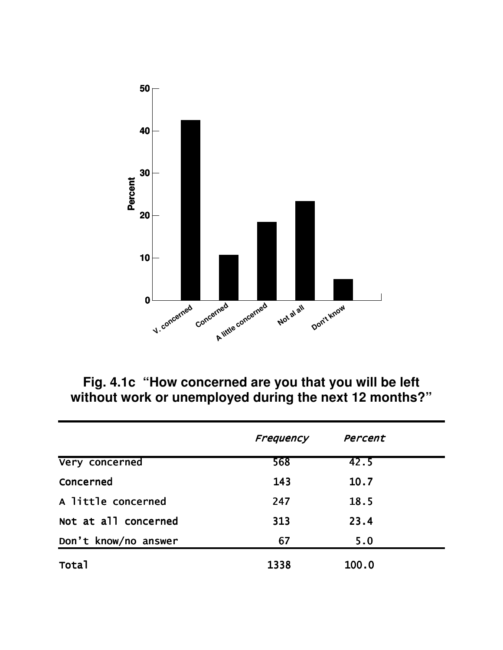

Fig. 4.1c "How concerned are you that you will be left without work or unemployed during the next 12 months?"

|                      | Frequency | Percent |  |
|----------------------|-----------|---------|--|
| Very concerned       | 568       | 42.5    |  |
| Concerned            | 143       | 10.7    |  |
| A little concerned   | 247       | 18.5    |  |
| Not at all concerned | 313       | 23.4    |  |
| Don't know/no answer | 67        | 5.0     |  |
| <b>Total</b>         | 1338      | 100.0   |  |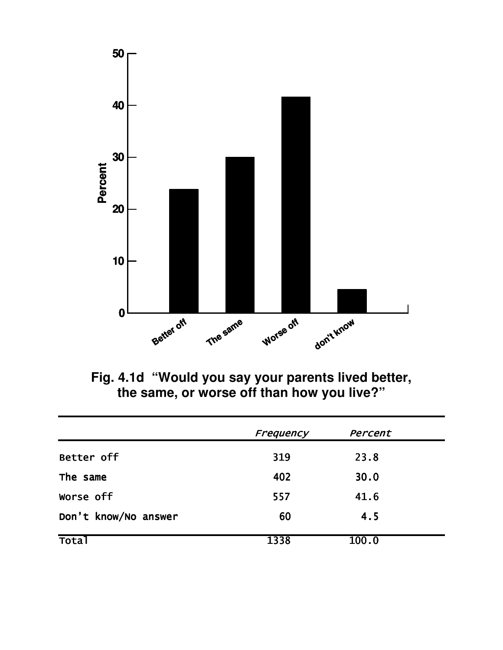

Fig. 4.1d "Would you say your parents lived better,<br>the same, or worse off than how you live?"

|                      | Frequency | Percent |  |
|----------------------|-----------|---------|--|
| Better off           | 319       | 23.8    |  |
| The same             | 402       | 30.0    |  |
| Worse off            | 557       | 41.6    |  |
| Don't know/No answer | 60        | 4.5     |  |
| <b>Total</b>         | 1338      | 100.0   |  |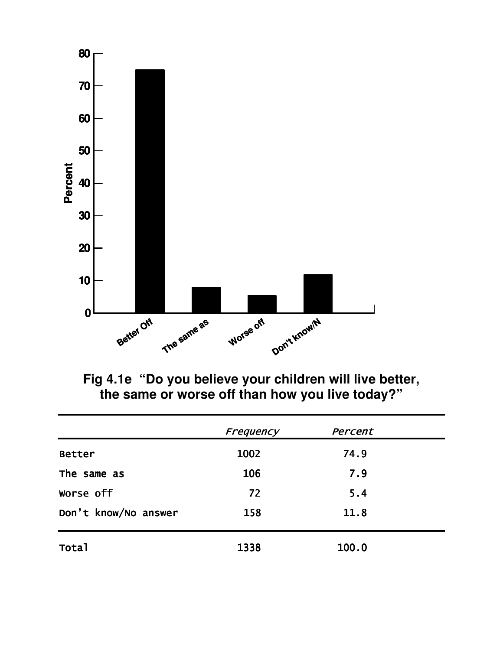

Fig 4.1e "Do you believe your children will live better,<br>the same or worse off than how you live today?"

|                      | Frequency | Percent |  |
|----------------------|-----------|---------|--|
| <b>Better</b>        | 1002      | 74.9    |  |
| The same as          | 106       | 7.9     |  |
| Worse off            | 72        | 5.4     |  |
| Don't know/No answer | 158       | 11.8    |  |
| Total                | 1338      | 100.0   |  |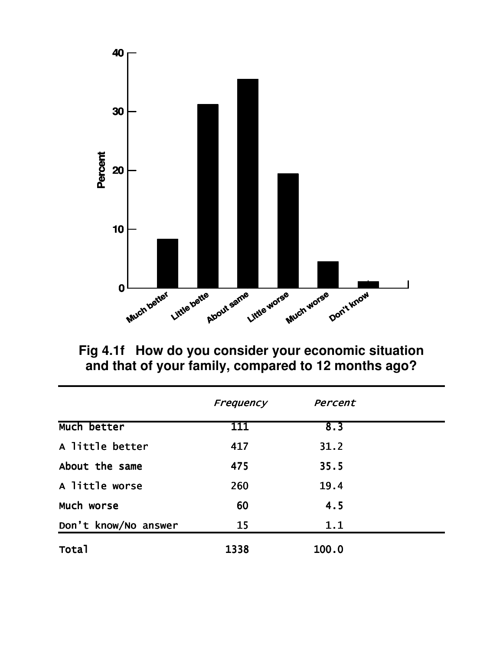

Fig 4.1f How do you consider your economic situation and that of your family, compared to 12 months ago?

|                      | Frequency | Percent |  |
|----------------------|-----------|---------|--|
| Much better          | 111       | 8.3     |  |
| A little better      | 417       | 31.2    |  |
| About the same       | 475       | 35.5    |  |
| A little worse       | 260       | 19.4    |  |
| Much worse           | 60        | 4.5     |  |
| Don't know/No answer | 15        | 1.1     |  |
| Total                | 1338      | 100.0   |  |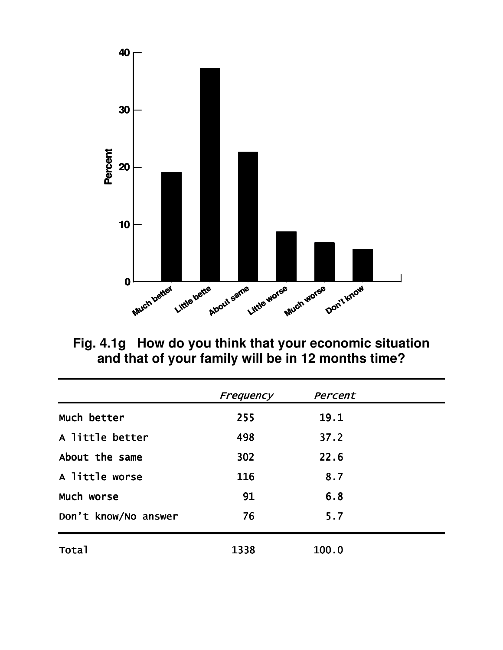

Fig. 4.1g How do you think that your economic situation and that of your family will be in 12 months time?

|                      | Frequency | Percent |  |
|----------------------|-----------|---------|--|
| Much better          | 255       | 19.1    |  |
| A little better      | 498       | 37.2    |  |
| About the same       | 302       | 22.6    |  |
| A little worse       | 116       | 8.7     |  |
| Much worse           | 91        | 6.8     |  |
| Don't know/No answer | 76        | 5.7     |  |
| <b>Total</b>         | 1338      | 100.0   |  |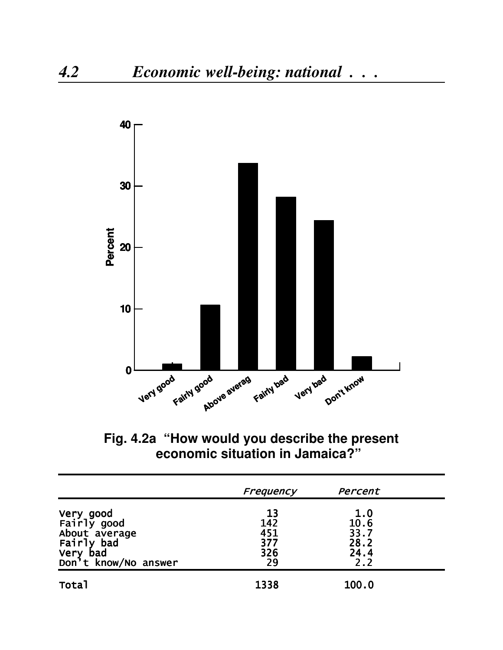

Fig. 4.2a "How would you describe the present economic situation in Jamaica?"

|                                                                                             | Frequency                            | Percent                                    |  |
|---------------------------------------------------------------------------------------------|--------------------------------------|--------------------------------------------|--|
| Very good<br>Fairly good<br>About average<br>Fairly bad<br>Very bad<br>Don't know/No answer | 13<br>142<br>451<br>377<br>326<br>29 | 1.0<br>10.6<br>33.7<br>28.2<br>24.4<br>2.2 |  |
| <b>Total</b>                                                                                | 1338                                 | 100.0                                      |  |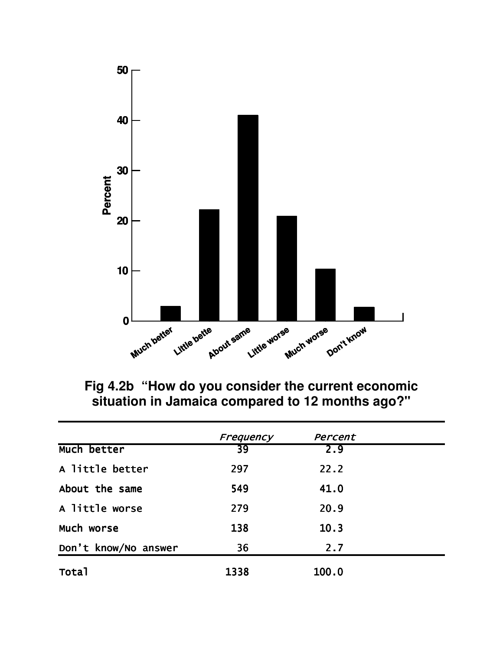

Fig 4.2b "How do you consider the current economic<br>situation in Jamaica compared to 12 months ago?"

|                      | Frequency | Percent |  |
|----------------------|-----------|---------|--|
| Much better          | 39        | 2.9     |  |
| A little better      | 297       | 22.2    |  |
| About the same       | 549       | 41.0    |  |
| A little worse       | 279       | 20.9    |  |
| Much worse           | 138       | 10.3    |  |
| Don't know/No answer | 36        | 2.7     |  |
| Total                | 1338      | 100.0   |  |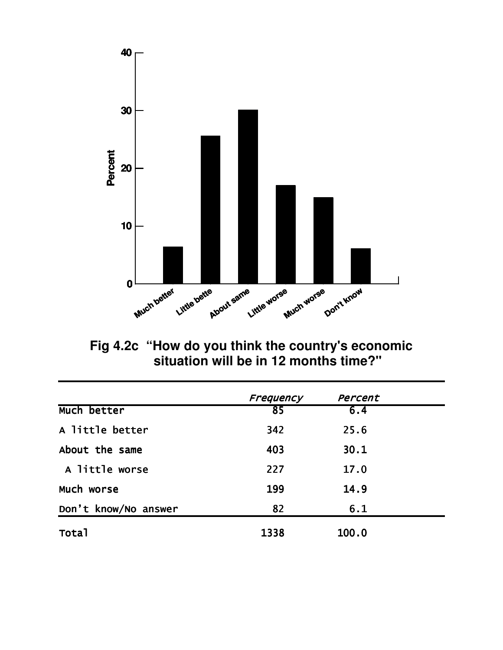

Fig 4.2c "How do you think the country's economic<br>situation will be in 12 months time?"

|                      | Frequency | Percent |  |
|----------------------|-----------|---------|--|
| Much better          | 85        | 6.4     |  |
| A little better      | 342       | 25.6    |  |
| About the same       | 403       | 30.1    |  |
| A little worse       | 227       | 17.0    |  |
| Much worse           | 199       | 14.9    |  |
| Don't know/No answer | 82        | 6.1     |  |
| Total                | 1338      | 100.0   |  |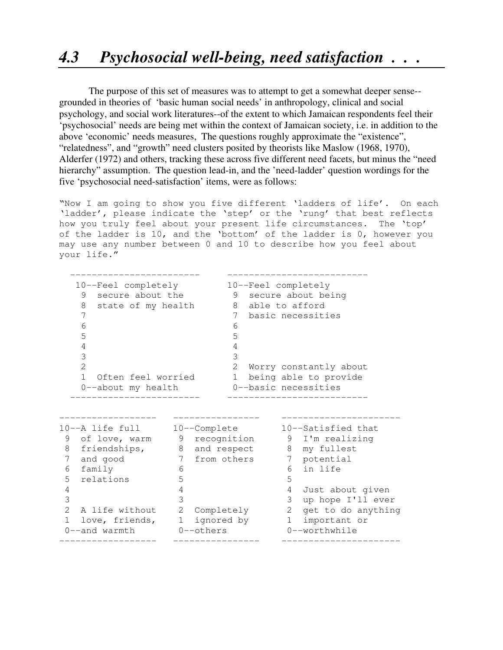The purpose of this set of measures was to attempt to get a somewhat deeper sense- grounded in theories of 'basic human social needs' in anthropology, clinical and social psychology, and social work literatures--of the extent to which Jamaican respondents feel their 'psychosocial' needs are being met within the context of Jamaican society, i.e. in addition to the above 'economic' needs measures, The questions roughly approximate the "existence", "relatedness", and "growth" need clusters posited by theorists like Maslow (1968, 1970), Alderfer (1972) and others, tracking these across five different need facets, but minus the "need hierarchy" assumption. The question lead-in, and the 'need-ladder' question wordings for the five 'psychosocial need-satisfaction' items, were as follows:

"Now I am going to show you five different 'ladders of life'. On each 'ladder', please indicate the 'step' or the 'rung' that best reflects how you truly feel about your present life circumstances. The 'top' of the ladder is 10, and the 'bottom' of the ladder is 0, however you may use any number between 0 and 10 to describe how you feel about your life."

| 10--Feel completely<br>secure about the<br>9<br>8<br>state of my health<br>7<br>6<br>5<br>4 |               | 10--Feel completely<br>9 secure about being<br>8 able to afford<br>7<br>6<br>5<br>4 |   | basic necessities        |
|---------------------------------------------------------------------------------------------|---------------|-------------------------------------------------------------------------------------|---|--------------------------|
| 3                                                                                           |               | 3                                                                                   |   |                          |
| $\overline{2}$                                                                              |               |                                                                                     |   | 2 Worry constantly about |
| $\mathbf{1}$<br>Often feel worried                                                          |               |                                                                                     |   | 1 being able to provide  |
| 0--about my health                                                                          |               |                                                                                     |   | 0--basic necessities     |
|                                                                                             |               |                                                                                     |   |                          |
| 10--A life full                                                                             |               | 10--Complete                                                                        |   | 10--Satisfied that       |
| of love, warm 9 recognition<br>9                                                            |               |                                                                                     |   | 9 I'm realizing          |
| friendships, 8 and respect<br>8                                                             |               |                                                                                     |   | 8 my fullest             |
| and good<br>7                                                                               | 7 from others |                                                                                     |   | 7 potential              |
| 6<br>family                                                                                 | 6             |                                                                                     | 6 | in life                  |
| 5<br>relations                                                                              | 5             |                                                                                     | 5 |                          |
| 4                                                                                           | 4             |                                                                                     |   | 4 Just about given       |
| 3                                                                                           | 3             |                                                                                     | 3 | up hope I'll ever        |
| $\mathcal{L}$<br>A life without                                                             |               | 2 Completely                                                                        |   | 2 get to do anything     |
| love, friends,<br>$\mathbf{1}$                                                              | 1 ignored by  |                                                                                     |   | 1 important or           |
| 0--and warmth                                                                               | $0$ --others  |                                                                                     |   | $0$ --worthwhile         |
|                                                                                             |               |                                                                                     |   |                          |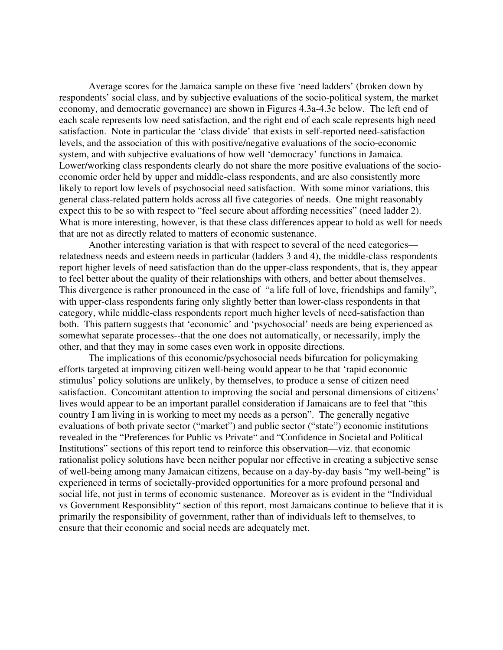Average scores for the Jamaica sample on these five 'need ladders' (broken down by respondents' social class, and by subjective evaluations of the socio-political system, the market economy, and democratic governance) are shown in Figures 4.3a-4.3e below. The left end of each scale represents low need satisfaction, and the right end of each scale represents high need satisfaction. Note in particular the 'class divide' that exists in self-reported need-satisfaction levels, and the association of this with positive/negative evaluations of the socio-economic system, and with subjective evaluations of how well 'democracy' functions in Jamaica. Lower/working class respondents clearly do not share the more positive evaluations of the socioeconomic order held by upper and middle-class respondents, and are also consistently more likely to report low levels of psychosocial need satisfaction. With some minor variations, this general class-related pattern holds across all five categories of needs. One might reasonably expect this to be so with respect to "feel secure about affording necessities" (need ladder 2). What is more interesting, however, is that these class differences appear to hold as well for needs that are not as directly related to matters of economic sustenance.

Another interesting variation is that with respect to several of the need categories relatedness needs and esteem needs in particular (ladders 3 and 4), the middle-class respondents report higher levels of need satisfaction than do the upper-class respondents, that is, they appear to feel better about the quality of their relationships with others, and better about themselves. This divergence is rather pronounced in the case of "a life full of love, friendships and family", with upper-class respondents faring only slightly better than lower-class respondents in that category, while middle-class respondents report much higher levels of need-satisfaction than both. This pattern suggests that 'economic' and 'psychosocial' needs are being experienced as somewhat separate processes--that the one does not automatically, or necessarily, imply the other, and that they may in some cases even work in opposite directions.

The implications of this economic/psychosocial needs bifurcation for policymaking efforts targeted at improving citizen well-being would appear to be that 'rapid economic stimulus' policy solutions are unlikely, by themselves, to produce a sense of citizen need satisfaction. Concomitant attention to improving the social and personal dimensions of citizens' lives would appear to be an important parallel consideration if Jamaicans are to feel that "this country I am living in is working to meet my needs as a person". The generally negative evaluations of both private sector ("market") and public sector ("state") economic institutions revealed in the "Preferences for Public vs Private" and "Confidence in Societal and Political Institutions" sections of this report tend to reinforce this observation—viz. that economic rationalist policy solutions have been neither popular nor effective in creating a subjective sense of well-being among many Jamaican citizens, because on a day-by-day basis "my well-being" is experienced in terms of societally-provided opportunities for a more profound personal and social life, not just in terms of economic sustenance. Moreover as is evident in the "Individual vs Government Responsiblity" section of this report, most Jamaicans continue to believe that it is primarily the responsibility of government, rather than of individuals left to themselves, to ensure that their economic and social needs are adequately met.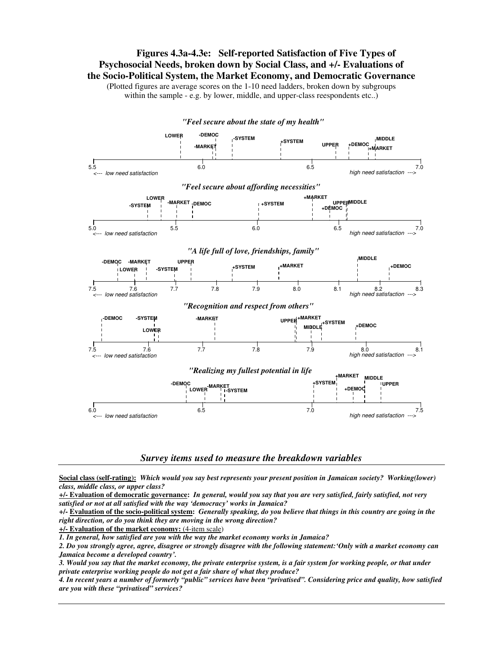**Figures 4.3a-4.3e: Self-reported Satisfaction of Five Types of Psychosocial Needs, broken down by Social Class, and +/- Evaluations of the Socio-Political System, the Market Economy, and Democratic Governance**

(Plotted figures are average scores on the 1-10 need ladders, broken down by subgroups within the sample - e.g. by lower, middle, and upper-class reespondents etc..)



#### *Survey items used to measure the breakdown variables*

Social class (self-rating): Which would you say best represents your present position in Jamaican society? Working(lower) *class, middle class, or upper class?*

 $+/-$  Evaluation of democratic governance: In general, would you say that you are very satisfied, fairly satisfied, not very *satisfied or not at all satisfied with the way 'democracy' works in Jamaica?*

+/- Evaluation of the socio-political system: Generally speaking, do you believe that things in this country are going in the *right direction, or do you think they are moving in the wrong direction?*

**+/- Evaluation of the market economy:** (4-item scale)

*1. In general, how satisfied are you with the way the market economy works in Jamaica?*

2. Do you strongly agree, agree, disagree or strongly disagree with the following statement: 'Only with a market economy can *Jamaica become a developed country'.*

3. Would you say that the market economy, the private enterprise system, is a fair system for working people, or that under *private enterprise working people do not get a fair share of what they produce?*

4. In recent years a number of formerly "public" services have been "privatised". Considering price and quality, how satisfied *are you with these "privatised" services?*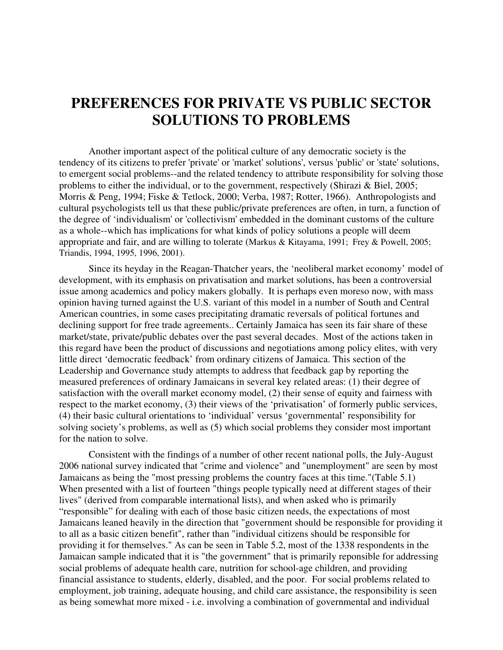## **PREFERENCES FOR PRIVATE VS PUBLIC SECTOR SOLUTIONS TO PROBLEMS**

Another important aspect of the political culture of any democratic society is the tendency of its citizens to prefer 'private'or 'market'solutions', versus 'public'or 'state'solutions, to emergent social problems--and the related tendency to attribute responsibility for solving those problems to either the individual, or to the government, respectively (Shirazi & Biel, 2005; Morris & Peng, 1994; Fiske & Tetlock, 2000; Verba, 1987; Rotter, 1966). Anthropologists and cultural psychologists tell us that these public/private preferences are often, in turn, a function of the degree of 'individualism'or 'collectivism'embedded in the dominant customs of the culture as a whole--which has implications for what kinds of policy solutions a people will deem appropriate and fair, and are willing to tolerate (Markus & Kitayama, 1991; Frey & Powell, 2005; Triandis, 1994, 1995, 1996, 2001).

Since its heyday in the Reagan-Thatcher years, the 'neoliberal market economy' model of development, with its emphasis on privatisation and market solutions, has been a controversial issue among academics and policy makers globally. It is perhaps even moreso now, with mass opinion having turned against the U.S. variant of this model in a number of South and Central American countries, in some cases precipitating dramatic reversals of political fortunes and declining support for free trade agreements.. Certainly Jamaica has seen its fair share of these market/state, private/public debates over the past several decades. Most of the actions taken in this regard have been the product of discussions and negotiations among policy elites, with very little direct 'democratic feedback' from ordinary citizens of Jamaica. This section of the Leadership and Governance study attempts to address that feedback gap by reporting the measured preferences of ordinary Jamaicans in several key related areas: (1) their degree of satisfaction with the overall market economy model, (2) their sense of equity and fairness with respect to the market economy, (3) their views of the 'privatisation' of formerly public services, (4) their basic cultural orientations to 'individual' versus 'governmental' responsibility for solving society's problems, as well as (5) which social problems they consider most important for the nation to solve.

Consistent with the findings of a number of other recent national polls, the July-August 2006 national survey indicated that "crime and violence" and "unemployment" are seen by most Jamaicans as being the "most pressing problems the country faces at this time."(Table 5.1) When presented with a list of fourteen "things people typically need at different stages of their lives" (derived from comparable international lists), and when asked who is primarily "responsible" for dealing with each of those basic citizen needs, the expectations of most Jamaicans leaned heavily in the direction that "government should be responsible for providing it to all as a basic citizen benefit", rather than "individual citizens should be responsible for providing it for themselves." As can be seen in Table 5.2, most of the 1338 respondents in the Jamaican sample indicated that it is "the government" that is primarily reponsible for addressing social problems of adequate health care, nutrition for school-age children, and providing financial assistance to students, elderly, disabled, and the poor. For social problems related to employment, job training, adequate housing, and child care assistance, the responsibility is seen as being somewhat more mixed - i.e. involving a combination of governmental and individual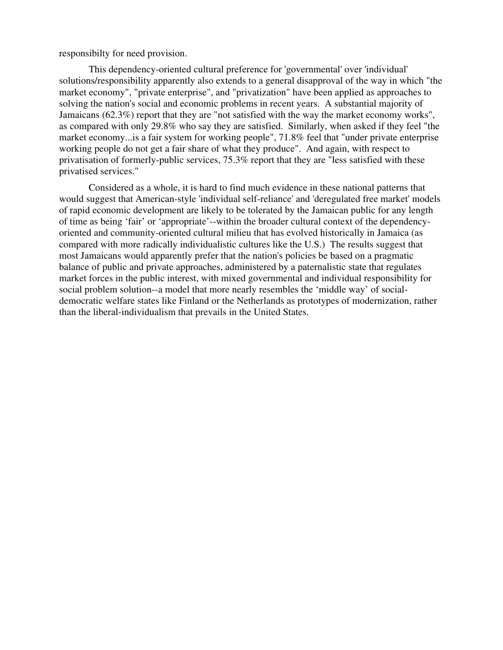responsibilty for need provision.

This dependency-oriented cultural preference for 'governmental'over 'individual' solutions/responsibility apparently also extends to a general disapproval of the way in which "the market economy", "private enterprise", and "privatization" have been applied as approaches to solving the nation's social and economic problems in recent years. A substantial majority of Jamaicans (62.3%) report that they are "not satisfied with the way the market economy works", as compared with only 29.8% who say they are satisfied. Similarly, when asked if they feel "the market economy...is a fair system for working people", 71.8% feel that "under private enterprise working people do not get a fair share of what they produce". And again, with respect to privatisation of formerly-public services, 75.3% report that they are "less satisfied with these privatised services."

Considered as a whole, it is hard to find much evidence in these national patterns that would suggest that American-style 'individual self-reliance'and 'deregulated free market'models of rapid economic development are likely to be tolerated by the Jamaican public for any length of time as being 'fair' or 'appropriate'--within the broader cultural context of the dependencyoriented and community-oriented cultural milieu that has evolved historically in Jamaica (as compared with more radically individualistic cultures like the U.S.) The results suggest that most Jamaicans would apparently prefer that the nation's policies be based on a pragmatic balance of public and private approaches, administered by a paternalistic state that regulates market forces in the public interest, with mixed governmental and individual responsibility for social problem solution--a model that more nearly resembles the 'middle way' of socialdemocratic welfare states like Finland or the Netherlands as prototypes of modernization, rather than the liberal-individualism that prevails in the United States.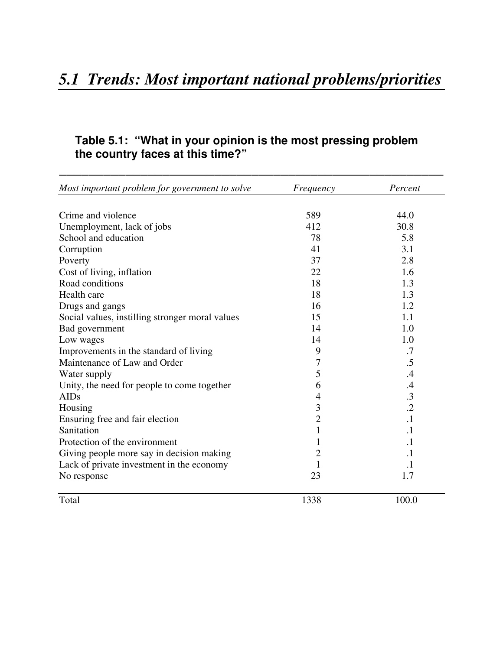### **Table 5.1: "What in your opinion is the most pressing problem the country faces at this time?"**

| Most important problem for government to solve  | Frequency      | Percent    |
|-------------------------------------------------|----------------|------------|
| Crime and violence                              | 589            | 44.0       |
| Unemployment, lack of jobs                      | 412            | 30.8       |
| School and education                            | 78             | 5.8        |
| Corruption                                      | 41             | 3.1        |
| Poverty                                         | 37             | 2.8        |
| Cost of living, inflation                       | 22             | 1.6        |
| Road conditions                                 | 18             | 1.3        |
| Health care                                     | 18             | 1.3        |
| Drugs and gangs                                 | 16             | 1.2        |
| Social values, instilling stronger moral values | 15             | 1.1        |
| Bad government                                  | 14             | 1.0        |
| Low wages                                       | 14             | 1.0        |
| Improvements in the standard of living          | 9              | .7         |
| Maintenance of Law and Order                    | 7              | .5         |
| Water supply                                    | 5              | .4         |
| Unity, the need for people to come together     | 6              | .4         |
| <b>AIDs</b>                                     | 4              | .3         |
| Housing                                         | 3              | $\cdot$ .2 |
| Ensuring free and fair election                 | $\overline{c}$ | $\cdot$ 1  |
| Sanitation                                      | 1              | $\cdot$ 1  |
| Protection of the environment                   |                | $\cdot$    |
| Giving people more say in decision making       | 2              | $\cdot$    |
| Lack of private investment in the economy       |                | $\cdot$    |
| No response                                     | 23             | 1.7        |
| Total                                           | 1338           | 100.0      |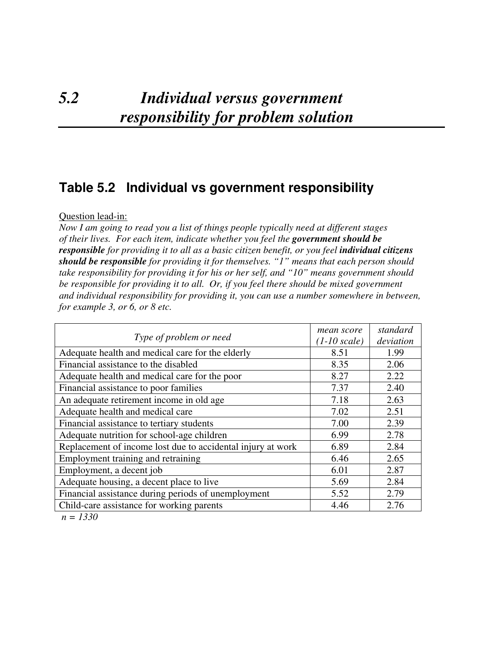## *5.2 Individual versus government responsibility for problem solution*

### **Table 5.2 Individual vs government responsibility**

### Question lead-in:

*Now I am going to read you a list of things people typically need at different stages of their lives. For each item, indicate whether you feel the government should be responsible for providing it to all as a basic citizen benefit, or you feel individual citizens should be responsible for providing it for themselves. "1" means that each person should take responsibility for providing it for his or her self, and "10" means government should be responsible for providing it to all. Or, if you feel there should be mixed government and individual responsibility for providing it, you can use a number somewhere in between, for example 3, or 6, or 8 etc.*

| Type of problem or need                                     | mean score<br>$(1-10 scale)$ | standard<br>deviation |
|-------------------------------------------------------------|------------------------------|-----------------------|
| Adequate health and medical care for the elderly            | 8.51                         | 1.99                  |
| Financial assistance to the disabled                        | 8.35                         | 2.06                  |
| Adequate health and medical care for the poor               | 8.27                         | 2.22                  |
| Financial assistance to poor families                       | 7.37                         | 2.40                  |
| An adequate retirement income in old age                    | 7.18                         | 2.63                  |
| Adequate health and medical care                            | 7.02                         | 2.51                  |
| Financial assistance to tertiary students                   | 7.00                         | 2.39                  |
| Adequate nutrition for school-age children                  | 6.99                         | 2.78                  |
| Replacement of income lost due to accidental injury at work | 6.89                         | 2.84                  |
| Employment training and retraining                          | 6.46                         | 2.65                  |
| Employment, a decent job                                    | 6.01                         | 2.87                  |
| Adequate housing, a decent place to live                    | 5.69                         | 2.84                  |
| Financial assistance during periods of unemployment         | 5.52                         | 2.79                  |
| Child-care assistance for working parents                   | 4.46                         | 2.76                  |

*n = 1330*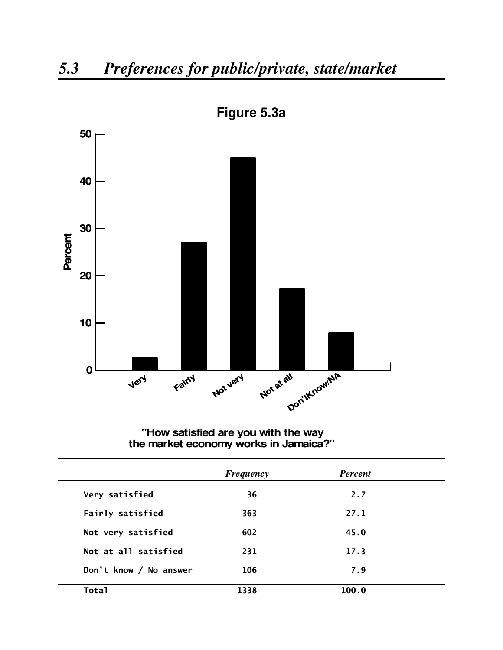

**Figure 5.3a**

**"How satisfied are you with the way the market economy works in Jamaica?"**

|                        | <b>Frequency</b> | <b>Percent</b> |  |
|------------------------|------------------|----------------|--|
| Very satisfied         | 36               | 2.7            |  |
| Fairly satisfied       | 363              | 27.1           |  |
| Not very satisfied     | 602              | 45.0           |  |
| Not at all satisfied   | 231              | 17.3           |  |
| Don't know / No answer | 106              | 7.9            |  |
| <b>Total</b>           | 1338             | 100.0          |  |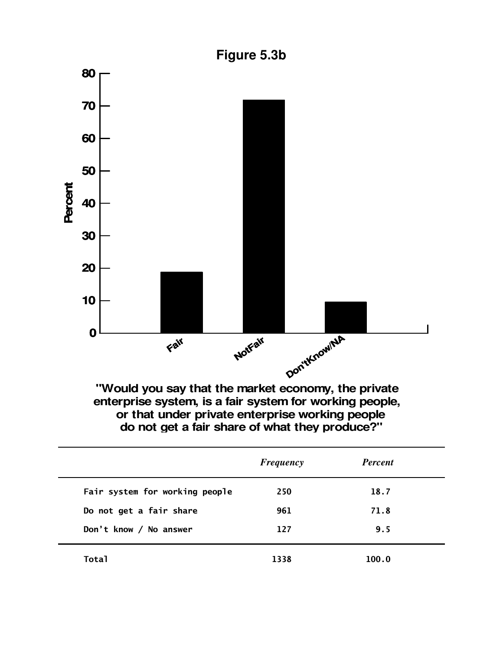

**"Would you say that the market economy, the private enterprise system, is a fair system for working people, or that under private enterprise working people do not get a fair share of what they produce?"**

|                                | <b>Frequency</b> | <b>Percent</b> |  |
|--------------------------------|------------------|----------------|--|
| Fair system for working people | 250              | 18.7           |  |
| Do not get a fair share        | 961              | 71.8           |  |
| Don't know / No answer         | 127              | 9.5            |  |
| <b>Total</b>                   | 1338             | 100.0          |  |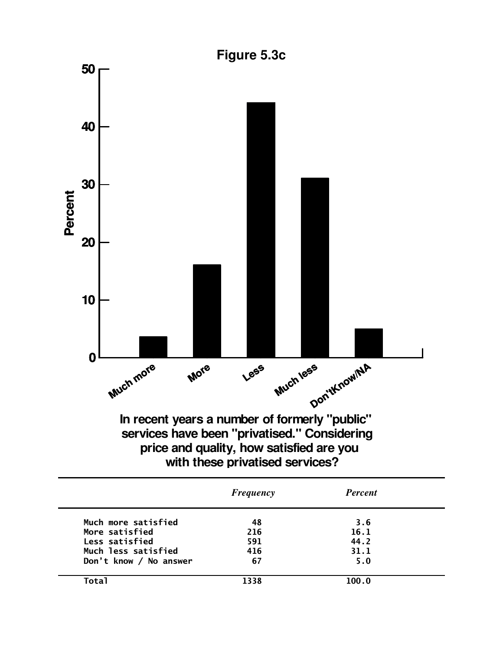

|                        | <b>Frequency</b> | <b>Percent</b> |  |
|------------------------|------------------|----------------|--|
| Much more satisfied    | 48               | 3.6            |  |
| More satisfied         | 216              | 16.1           |  |
| Less satisfied         | 591              | 44.2           |  |
| Much less satisfied    | 416              | 31.1           |  |
| Don't know / No answer | 67               | 5.0            |  |
| <b>Total</b>           | 1338             | 100.0          |  |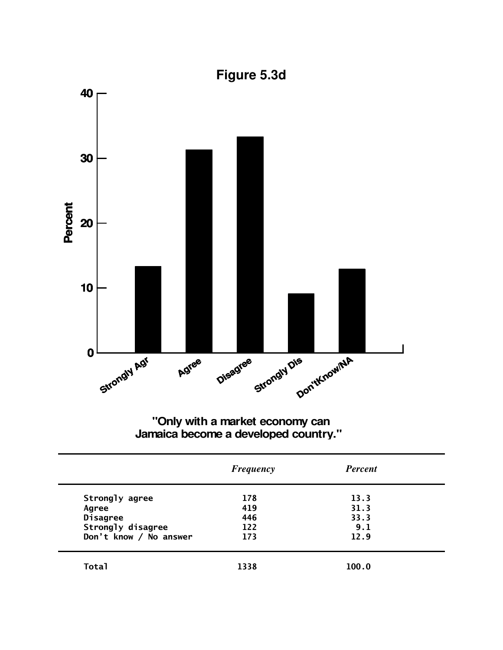

# "Only with a market economy can<br>Jamaica become a developed country."

|                        | <b>Frequency</b> | <b>Percent</b> |  |
|------------------------|------------------|----------------|--|
| Strongly agree         | 178              | 13.3           |  |
| Agree                  | 419              | 31.3           |  |
| <b>Disagree</b>        | 446              | 33.3           |  |
| Strongly disagree      | 122              | 9.1            |  |
| Don't know / No answer | 173              | 12.9           |  |
| Total                  | 1338             | 100.0          |  |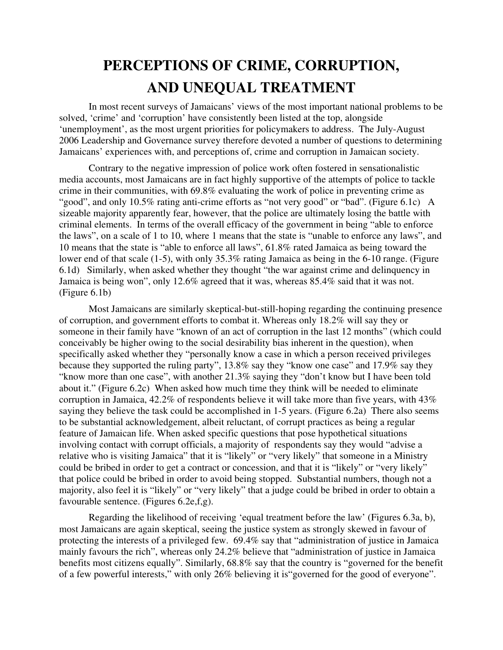# **PERCEPTIONS OF CRIME, CORRUPTION, AND UNEQUAL TREATMENT**

In most recent surveys of Jamaicans' views of the most important national problems to be solved, 'crime' and 'corruption' have consistently been listed at the top, alongside 'unemployment', as the most urgent priorities for policymakers to address. The July-August 2006 Leadership and Governance survey therefore devoted a number of questions to determining Jamaicans' experiences with, and perceptions of, crime and corruption in Jamaican society.

Contrary to the negative impression of police work often fostered in sensationalistic media accounts, most Jamaicans are in fact highly supportive of the attempts of police to tackle crime in their communities, with 69.8% evaluating the work of police in preventing crime as "good", and only 10.5% rating anti-crime efforts as "not very good" or "bad". (Figure 6.1c) A sizeable majority apparently fear, however, that the police are ultimately losing the battle with criminal elements. In terms of the overall efficacy of the government in being "able to enforce the laws", on a scale of 1 to 10, where 1 means that the state is "unable to enforce any laws", and 10 means that the state is "able to enforce all laws", 61.8% rated Jamaica as being toward the lower end of that scale (1-5), with only 35.3% rating Jamaica as being in the 6-10 range. (Figure 6.1d) Similarly, when asked whether they thought "the war against crime and delinquency in Jamaica is being won", only 12.6% agreed that it was, whereas 85.4% said that it was not. (Figure 6.1b)

Most Jamaicans are similarly skeptical-but-still-hoping regarding the continuing presence of corruption, and government efforts to combat it. Whereas only 18.2% will say they or someone in their family have "known of an act of corruption in the last 12 months" (which could conceivably be higher owing to the social desirability bias inherent in the question), when specifically asked whether they "personally know a case in which a person received privileges because they supported the ruling party", 13.8% say they "know one case" and 17.9% say they "know more than one case", with another 21.3% saying they "don't know but I have been told about it." (Figure 6.2c) When asked how much time they think will be needed to eliminate corruption in Jamaica, 42.2% of respondents believe it will take more than five years, with 43% saying they believe the task could be accomplished in 1-5 years. (Figure 6.2a) There also seems to be substantial acknowledgement, albeit reluctant, of corrupt practices as being a regular feature of Jamaican life. When asked specific questions that pose hypothetical situations involving contact with corrupt officials, a majority of respondents say they would "advise a relative who is visiting Jamaica" that it is "likely" or "very likely" that someone in a Ministry could be bribed in order to get a contract or concession, and that it is "likely" or "very likely" that police could be bribed in order to avoid being stopped. Substantial numbers, though not a majority, also feel it is "likely" or "very likely" that a judge could be bribed in order to obtain a favourable sentence. (Figures 6.2e,f,g).

Regarding the likelihood of receiving 'equal treatment before the law' (Figures 6.3a, b), most Jamaicans are again skeptical, seeing the justice system as strongly skewed in favour of protecting the interests of a privileged few. 69.4% say that "administration of justice in Jamaica mainly favours the rich", whereas only 24.2% believe that "administration of justice in Jamaica benefits most citizens equally". Similarly, 68.8% say that the country is "governed for the benefit of a few powerful interests," with only 26% believing it is"governed for the good of everyone".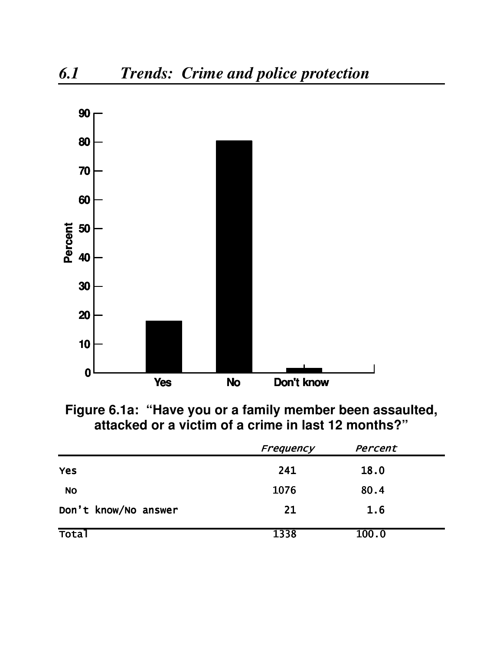

Figure 6.1a: "Have you or a family member been assaulted,<br>attacked or a victim of a crime in last 12 months?"

|                      | Frequency | Percent |  |
|----------------------|-----------|---------|--|
| <b>Yes</b>           | 241       | 18.0    |  |
| <b>NO</b>            | 1076      | 80.4    |  |
| Don't know/No answer | 21        | 1.6     |  |
| <b>Total</b>         | 1338      | 100.0   |  |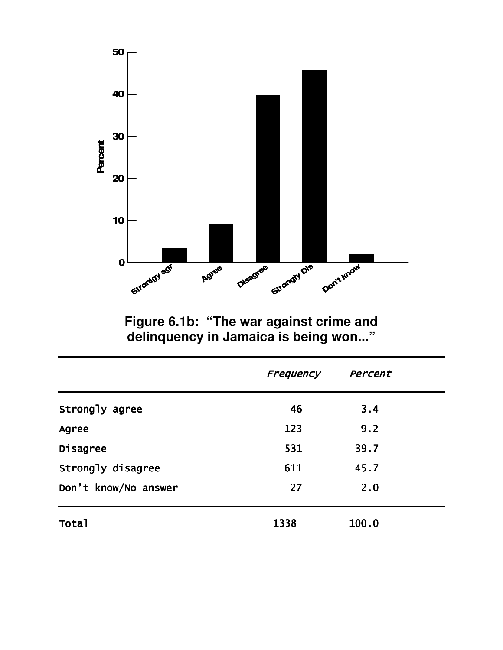

Figure 6.1b: "The war against crime and<br>delinquency in Jamaica is being won..."

|                      | Frequency | Percent |
|----------------------|-----------|---------|
| Strongly agree       | 46        | 3.4     |
| Agree                | 123       | 9.2     |
| Disagree             | 531       | 39.7    |
| Strongly disagree    | 611       | 45.7    |
| Don't know/No answer | 27        | 2.0     |
| <b>Total</b>         | 1338      | 100.0   |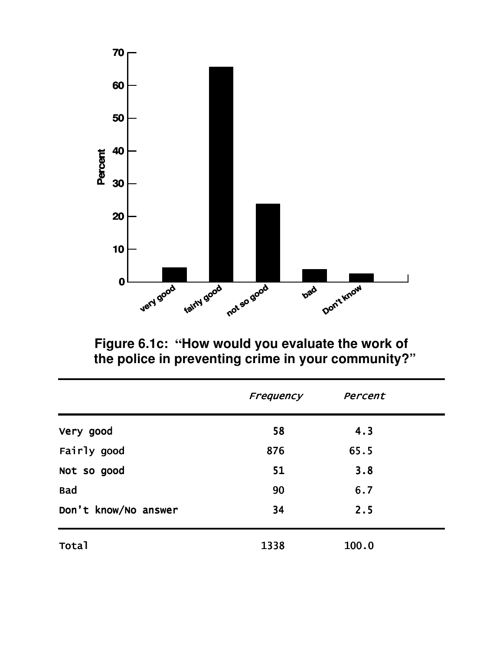

Figure 6.1c: "How would you evaluate the work of<br>the police in preventing crime in your community?"

|                      | Frequency | Percent |  |
|----------------------|-----------|---------|--|
| Very good            | 58        | 4.3     |  |
| Fairly good          | 876       | 65.5    |  |
| Not so good          | 51        | 3.8     |  |
| <b>Bad</b>           | 90        | 6.7     |  |
| Don't know/No answer | 34        | 2.5     |  |
| Total                | 1338      | 100.0   |  |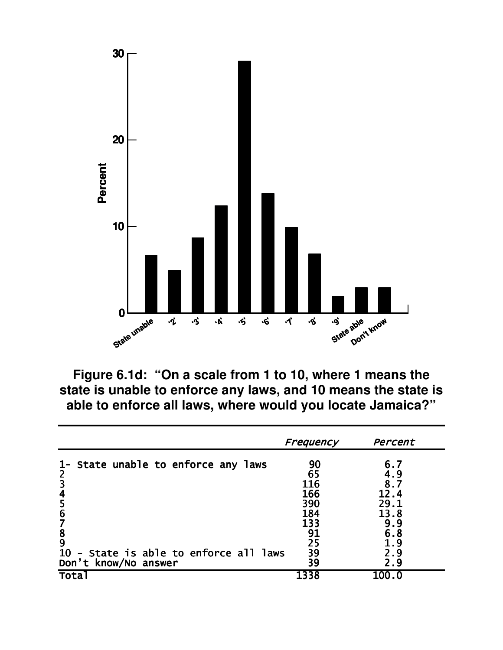

Figure 6.1d: "On a scale from 1 to 10, where 1 means the state is unable to enforce any laws, and 10 means the state is able to enforce all laws, where would you locate Jamaica?"

|                                                    | Frequency  | Percent     |
|----------------------------------------------------|------------|-------------|
| 1- State unable to enforce any laws                | 90         | 6.7         |
| 2                                                  | 65         | 4.9         |
| $\overline{\mathbf{3}}$<br>$\overline{\mathbf{r}}$ | 116<br>166 | 8.7<br>12.4 |
| 5                                                  | 390        | 29.1        |
| $6\phantom{1}6$                                    | 184        | 13.8        |
|                                                    | 133        | 9.9         |
| $\frac{8}{9}$                                      | 91         | 6.8         |
|                                                    | 25         | . 9         |
| - State is able to enforce all laws<br><b>10</b>   | 39         | 2.9         |
| Don't know/No answer                               | 39         | 2.9         |
| <b>Tota</b>                                        | 1338       | 100.0       |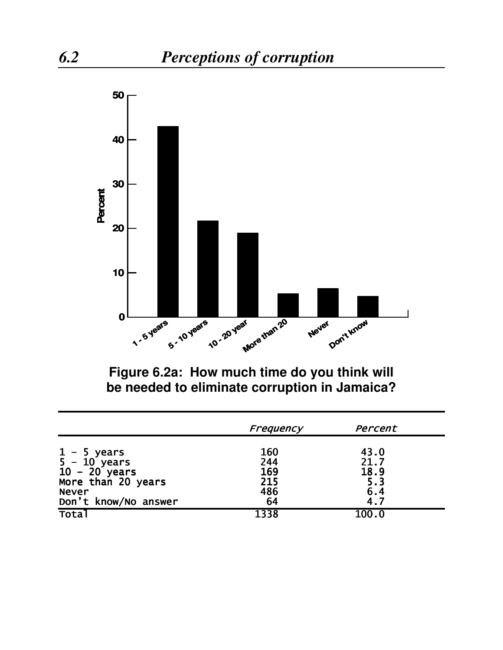

**Figure 6.2a: How much time do you think will be needed to eliminate corruption in Jamaica?**

|                      | Frequency  | Percent |
|----------------------|------------|---------|
| $1 - 5$ years        | <b>160</b> | 43.0    |
| $5 - 10$ years       | 244        | 21.7    |
| $10 - 20$ years      | 169        | 18.9    |
| More than 20 years   | 215        | 5.3     |
| <b>Never</b>         | 486        | 6.4     |
| Don't know/No answer | 64         | 4.7     |
| <b>Tota</b>          | 1338       | 100.0   |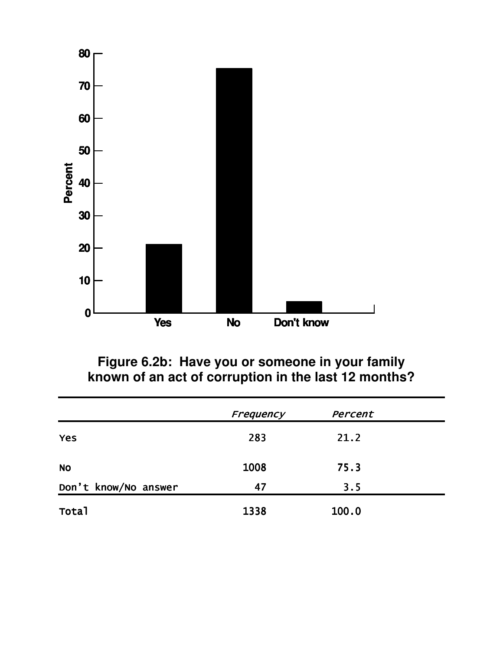

Figure 6.2b: Have you or someone in your family<br>known of an act of corruption in the last 12 months?

|                      | Frequency | Percent |  |
|----------------------|-----------|---------|--|
| <b>Yes</b>           | 283       | 21.2    |  |
| <b>NO</b>            | 1008      | 75.3    |  |
| Don't know/No answer | 47        | 3.5     |  |
| Total                | 1338      | 100.0   |  |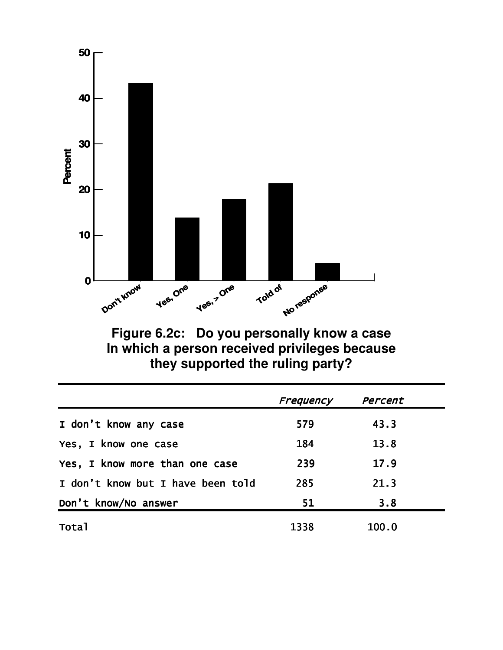

Figure 6.2c: Do you personally know a case<br>In which a person received privileges because they supported the ruling party?

|                                   | Frequency | Percent |
|-----------------------------------|-----------|---------|
| I don't know any case             | 579       | 43.3    |
| Yes, I know one case              | 184       | 13.8    |
| Yes, I know more than one case    | 239       | 17.9    |
| I don't know but I have been told | 285       | 21.3    |
| Don't know/No answer              | 51        | 3.8     |
| <b>Total</b>                      | 1338      | 100.0   |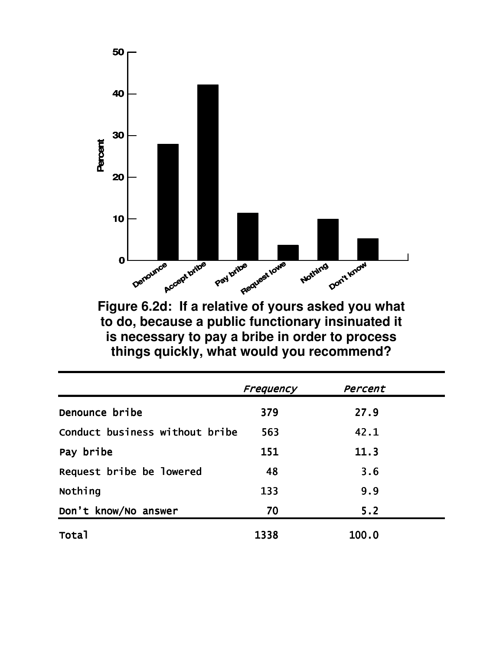

Figure 6.2d: If a relative of yours asked you what to do, because a public functionary insinuated it is necessary to pay a bribe in order to process things quickly, what would you recommend?

|                                | Frequency | Percent |
|--------------------------------|-----------|---------|
| Denounce bribe                 | 379       | 27.9    |
| Conduct business without bribe | 563       | 42.1    |
| Pay bribe                      | 151       | 11.3    |
| Request bribe be lowered       | 48        | 3.6     |
| Nothing                        | 133       | 9.9     |
| Don't know/No answer           | 70        | 5.2     |
| <b>Total</b>                   | 1338      | 100.0   |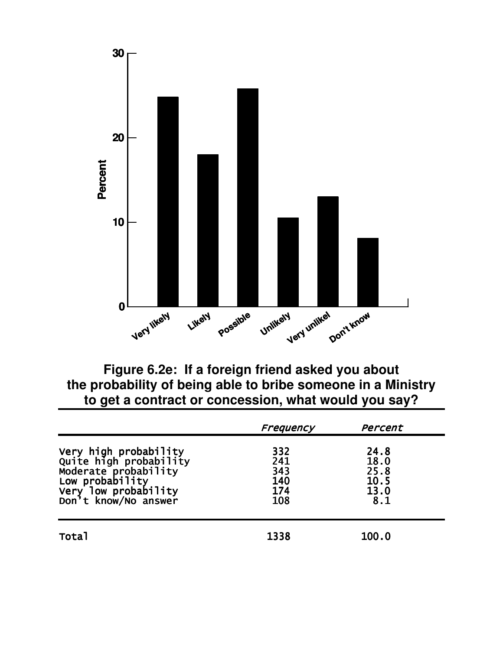

Figure 6.2e: If a foreign friend asked you about the probability of being able to bribe someone in a Ministry to get a contract or concession, what would you say?

|                                                                                                                                            | Frequency                              | Percent                                     |  |
|--------------------------------------------------------------------------------------------------------------------------------------------|----------------------------------------|---------------------------------------------|--|
| Very high probability<br>Quite high probability<br>Moderate probability<br>Low probability<br>Very low probability<br>Don't know/No answer | 332<br>241<br>343<br>140<br>174<br>108 | 24.8<br>18.0<br>25.8<br>10.5<br>13.0<br>8.1 |  |
| Total                                                                                                                                      | 1338                                   | 100.0                                       |  |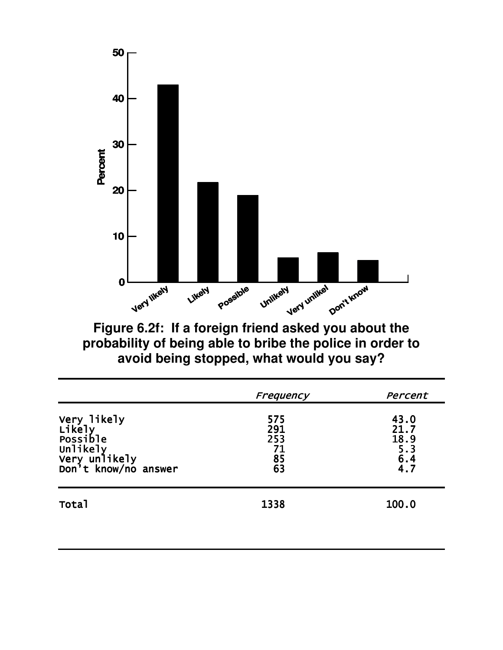

Figure 6.2f: If a foreign friend asked you about the<br>probability of being able to bribe the police in order to avoid being stopped, what would you say?

|                                                                                        | Frequency                           | Percent                                     |
|----------------------------------------------------------------------------------------|-------------------------------------|---------------------------------------------|
| Very likely<br>Likely<br>Possible<br>Unlikely<br>Very unlikely<br>Don't know/no answer | 575<br>291<br>253<br>71<br>85<br>63 | 43.0<br>21.7<br>$18.9$<br>5.3<br>6.4<br>4.7 |
| <b>Total</b>                                                                           | 1338                                | 100.0                                       |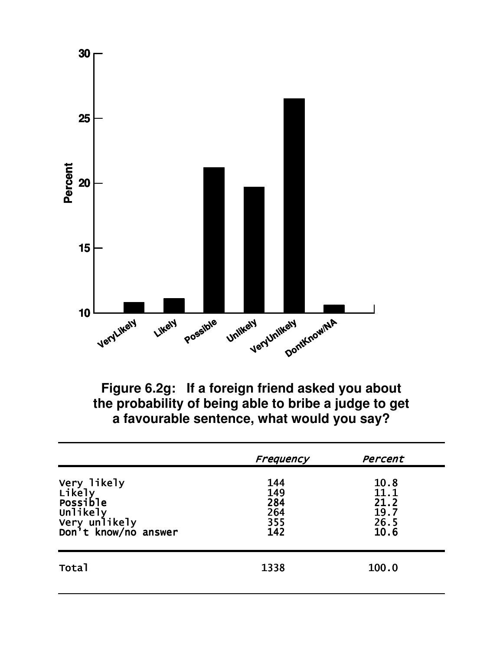

Figure 6.2g: If a foreign friend asked you about the probability of being able to bribe a judge to get a favourable sentence, what would you say?

|                                                                                        | Frequency                              | Percent                                      |
|----------------------------------------------------------------------------------------|----------------------------------------|----------------------------------------------|
| Very likely<br>Likely<br>Possible<br>Unlikely<br>Very unlikely<br>Don't know/no answer | 144<br>149<br>284<br>264<br>355<br>142 | 10.8<br>11.1<br>21.2<br>19.7<br>26.5<br>10.6 |
| Total                                                                                  | 1338                                   | 100.0                                        |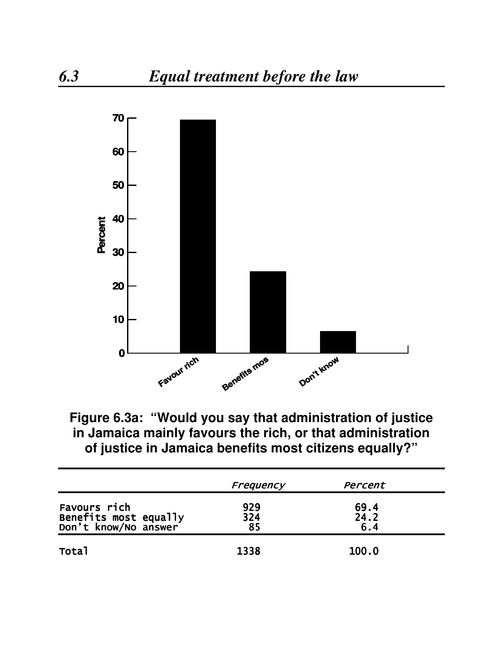

Figure 6.3a: "Would you say that administration of justice in Jamaica mainly favours the rich, or that administration of justice in Jamaica benefits most citizens equally?"

|                                                               | Frequency        | Percent             |  |
|---------------------------------------------------------------|------------------|---------------------|--|
| Favours rich<br>Benefits most equally<br>Don't know/No answer | 929<br>324<br>85 | 69.4<br>24.2<br>6.4 |  |
| Total                                                         | 1338             | 100.0               |  |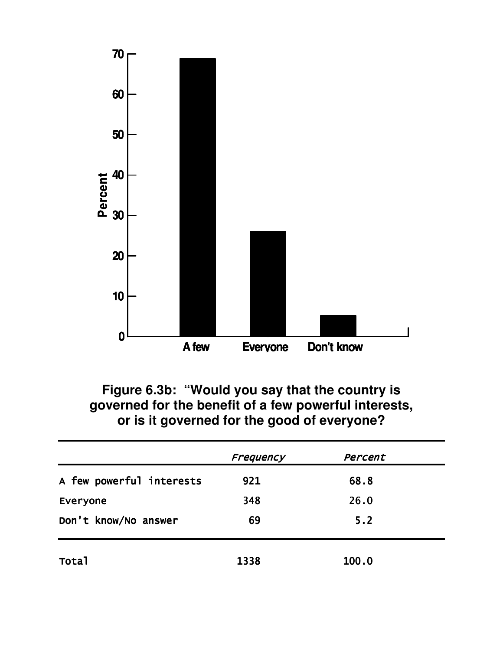

Figure 6.3b: "Would you say that the country is<br>governed for the benefit of a few powerful interests, or is it governed for the good of everyone?

|                          | Frequency | Percent |  |
|--------------------------|-----------|---------|--|
| A few powerful interests | 921       | 68.8    |  |
| Everyone                 | 348       | 26.0    |  |
| Don't know/No answer     | 69        | 5.2     |  |
| Total                    | 1338      | 100.0   |  |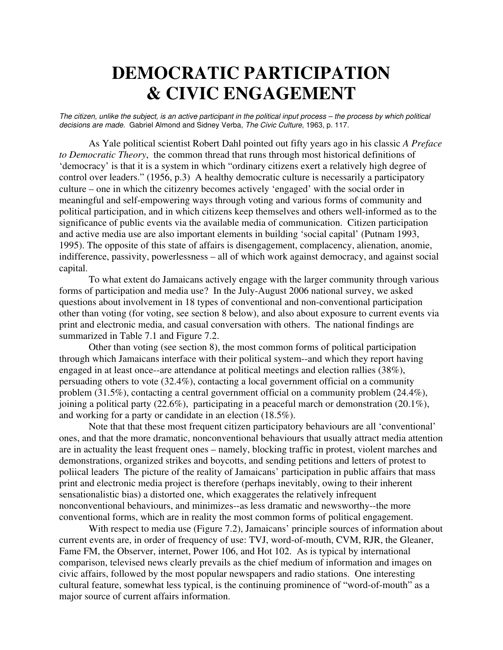# **DEMOCRATIC PARTICIPATION & CIVIC ENGAGEMENT**

The citizen, unlike the subject, is an active participant in the political input process - the process by which political *decisions are made.* Gabriel Almond and Sidney Verba, *The Civic Culture*, 1963, p. 117.

As Yale political scientist Robert Dahl pointed out fifty years ago in his classic *A Preface to Democratic Theory*, the common thread that runs through most historical definitions of 'democracy' is that it is a system in which "ordinary citizens exert a relatively high degree of control over leaders." (1956, p.3) A healthy democratic culture is necessarily a participatory culture – one in which the citizenry becomes actively 'engaged' with the social order in meaningful and self-empowering ways through voting and various forms of community and political participation, and in which citizens keep themselves and others well-informed as to the significance of public events via the available media of communication. Citizen participation and active media use are also important elements in building 'social capital' (Putnam 1993, 1995). The opposite of this state of affairs is disengagement, complacency, alienation, anomie, indifference, passivity, powerlessness – all of which work against democracy, and against social capital.

To what extent do Jamaicans actively engage with the larger community through various forms of participation and media use? In the July-August 2006 national survey, we asked questions about involvement in 18 types of conventional and non-conventional participation other than voting (for voting, see section 8 below), and also about exposure to current events via print and electronic media, and casual conversation with others. The national findings are summarized in Table 7.1 and Figure 7.2.

Other than voting (see section 8), the most common forms of political participation through which Jamaicans interface with their political system--and which they report having engaged in at least once--are attendance at political meetings and election rallies (38%), persuading others to vote (32.4%), contacting a local government official on a community problem (31.5%), contacting a central government official on a community problem (24.4%), joining a political party (22.6%), participating in a peaceful march or demonstration (20.1%), and working for a party or candidate in an election (18.5%).

Note that that these most frequent citizen participatory behaviours are all 'conventional' ones, and that the more dramatic, nonconventional behaviours that usually attract media attention are in actuality the least frequent ones – namely, blocking traffic in protest, violent marches and demonstrations, organized strikes and boycotts, and sending petitions and letters of protest to poliical leaders The picture of the reality of Jamaicans' participation in public affairs that mass print and electronic media project is therefore (perhaps inevitably, owing to their inherent sensationalistic bias) a distorted one, which exaggerates the relatively infrequent nonconventional behaviours, and minimizes--as less dramatic and newsworthy--the more conventional forms, which are in reality the most common forms of political engagement.

With respect to media use (Figure 7.2), Jamaicans' principle sources of information about current events are, in order of frequency of use: TVJ, word-of-mouth, CVM, RJR, the Gleaner, Fame FM, the Observer, internet, Power 106, and Hot 102. As is typical by international comparison, televised news clearly prevails as the chief medium of information and images on civic affairs, followed by the most popular newspapers and radio stations. One interesting cultural feature, somewhat less typical, is the continuing prominence of "word-of-mouth" as a major source of current affairs information.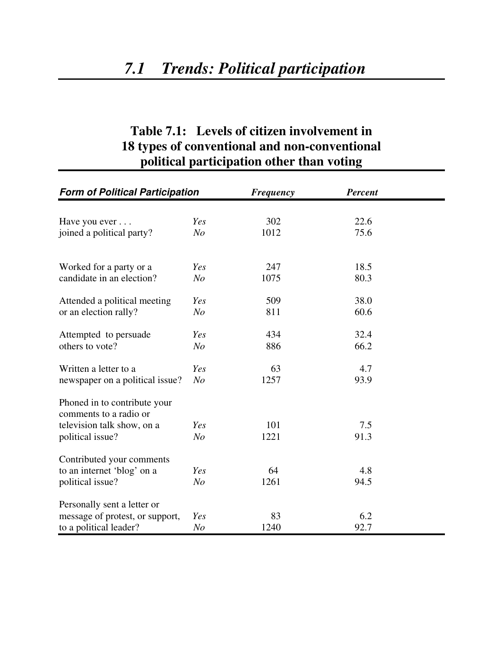### **Table 7.1: Levels of citizen involvement in 18 types of conventional and non-conventional political participation other than voting**

| <b>Form of Political Participation</b>                 |                       | <b>Frequency</b> | <b>Percent</b> |  |
|--------------------------------------------------------|-----------------------|------------------|----------------|--|
|                                                        |                       | 302              | 22.6           |  |
| Have you ever<br>joined a political party?             | Yes<br>N <sub>o</sub> | 1012             | 75.6           |  |
|                                                        |                       |                  |                |  |
| Worked for a party or a                                | Yes                   | 247              | 18.5           |  |
| candidate in an election?                              | N <sub>o</sub>        | 1075             | 80.3           |  |
| Attended a political meeting                           | Yes                   | 509              | 38.0           |  |
| or an election rally?                                  | N <sub>O</sub>        | 811              | 60.6           |  |
| Attempted to persuade                                  | Yes                   | 434              | 32.4           |  |
| others to vote?                                        | N <sub>o</sub>        | 886              | 66.2           |  |
| Written a letter to a                                  | Yes                   | 63               | 4.7            |  |
| newspaper on a political issue?                        | N <sub>o</sub>        | 1257             | 93.9           |  |
| Phoned in to contribute your<br>comments to a radio or |                       |                  |                |  |
| television talk show, on a                             | Yes                   | 101              | 7.5            |  |
| political issue?                                       | N <sub>O</sub>        | 1221             | 91.3           |  |
| Contributed your comments                              |                       |                  |                |  |
| to an internet 'blog' on a                             | Yes                   | 64               | 4.8            |  |
| political issue?                                       | N <sub>O</sub>        | 1261             | 94.5           |  |
| Personally sent a letter or                            |                       |                  |                |  |
| message of protest, or support,                        | Yes                   | 83               | 6.2            |  |
| to a political leader?                                 | N <sub>O</sub>        | 1240             | 92.7           |  |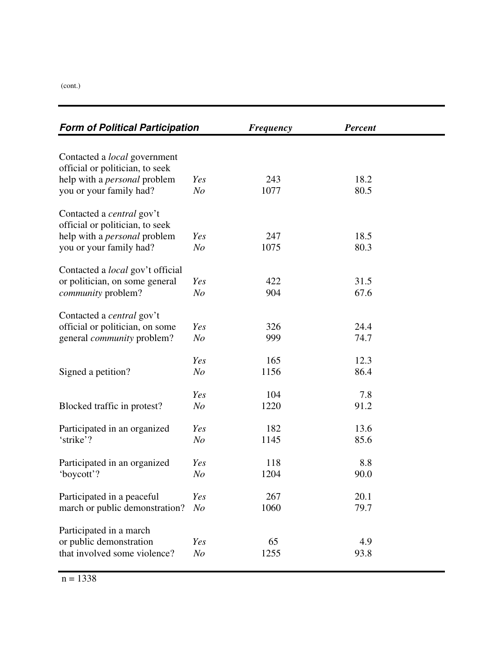(cont.)

| <b>Form of Political Participation</b>  |                | <b>Frequency</b> | <b>Percent</b> |  |
|-----------------------------------------|----------------|------------------|----------------|--|
|                                         |                |                  |                |  |
| Contacted a <i>local</i> government     |                |                  |                |  |
| official or politician, to seek         |                |                  |                |  |
| help with a <i>personal</i> problem     | Yes            | 243              | 18.2           |  |
| you or your family had?                 | N <sub>o</sub> | 1077             | 80.5           |  |
| Contacted a <i>central</i> gov't        |                |                  |                |  |
| official or politician, to seek         |                |                  |                |  |
| help with a <i>personal</i> problem     | Yes            | 247              | 18.5           |  |
| you or your family had?                 | N <sub>O</sub> | 1075             | 80.3           |  |
|                                         |                |                  |                |  |
| Contacted a <i>local</i> gov't official |                |                  |                |  |
| or politician, on some general          | Yes            | 422              | 31.5           |  |
| community problem?                      | N <sub>o</sub> | 904              | 67.6           |  |
| Contacted a <i>central</i> gov't        |                |                  |                |  |
| official or politician, on some         | Yes            | 326              | 24.4           |  |
| general <i>community</i> problem?       | N <sub>O</sub> | 999              | 74.7           |  |
|                                         |                |                  |                |  |
|                                         | Yes            | 165              | 12.3           |  |
| Signed a petition?                      | $N_{O}$        | 1156             | 86.4           |  |
|                                         |                |                  |                |  |
|                                         | Yes            | 104              | 7.8            |  |
| Blocked traffic in protest?             | N <sub>o</sub> | 1220             | 91.2           |  |
| Participated in an organized            | Yes            | 182              | 13.6           |  |
| 'strike'?                               | $N_{O}$        | 1145             | 85.6           |  |
|                                         |                |                  |                |  |
| Participated in an organized            | Yes            | 118              | 8.8            |  |
| 'boycott'?                              | N <sub>O</sub> | 1204             | 90.0           |  |
|                                         |                |                  |                |  |
| Participated in a peaceful              | Yes            | 267              | 20.1           |  |
| march or public demonstration?          | N <sub>O</sub> | 1060             | 79.7           |  |
| Participated in a march                 |                |                  |                |  |
| or public demonstration                 | Yes            | 65               | 4.9            |  |
| that involved some violence?            | N <sub>O</sub> | 1255             | 93.8           |  |
|                                         |                |                  |                |  |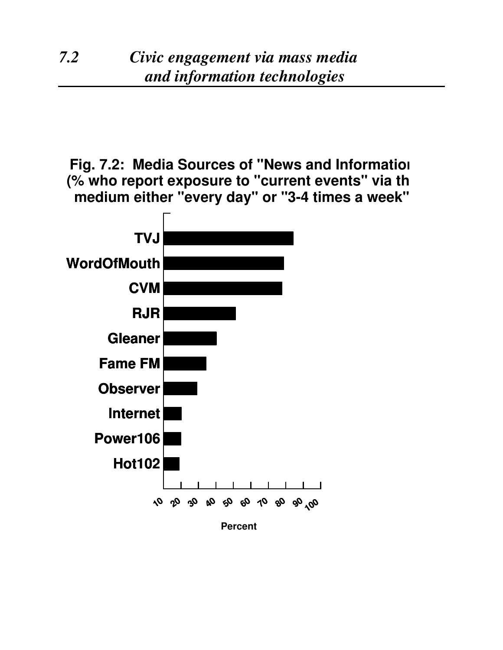**Fig. 7.2: Media Sources of "News and Information" (% who report exposure to "current events" via this medium either "every day" or "3-4 times a week")**

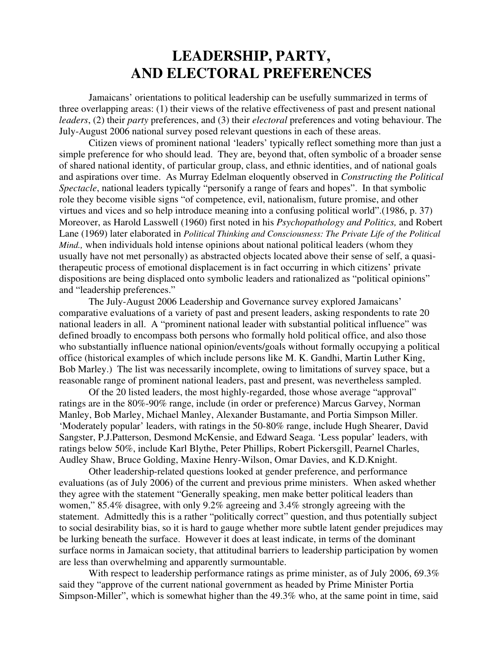## **LEADERSHIP, PARTY, AND ELECTORAL PREFERENCES**

Jamaicans' orientations to political leadership can be usefully summarized in terms of three overlapping areas: (1) their views of the relative effectiveness of past and present national *leaders*, (2) their *party* preferences, and (3) their *electoral* preferences and voting behaviour. The July-August 2006 national survey posed relevant questions in each of these areas.

Citizen views of prominent national 'leaders' typically reflect something more than just a simple preference for who should lead. They are, beyond that, often symbolic of a broader sense of shared national identity, of particular group, class, and ethnic identities, and of national goals and aspirations over time. As Murray Edelman eloquently observed in *Constructing the Political Spectacle*, national leaders typically "personify a range of fears and hopes". In that symbolic role they become visible signs "of competence, evil, nationalism, future promise, and other virtues and vices and so help introduce meaning into a confusing political world".(1986, p. 37) Moreover, as Harold Lasswell (1960) first noted in his *Psychopathology and Politics,* and Robert Lane (1969) later elaborated in *Political Thinking and Consciousness: The Private Life of the Political Mind.*, when individuals hold intense opinions about national political leaders (whom they usually have not met personally) as abstracted objects located above their sense of self, a quasitherapeutic process of emotional displacement is in fact occurring in which citizens' private dispositions are being displaced onto symbolic leaders and rationalized as "political opinions" and "leadership preferences."

The July-August 2006 Leadership and Governance survey explored Jamaicans' comparative evaluations of a variety of past and present leaders, asking respondents to rate 20 national leaders in all. A "prominent national leader with substantial political influence" was defined broadly to encompass both persons who formally hold political office, and also those who substantially influence national opinion/events/goals without formally occupying a political office (historical examples of which include persons like M. K. Gandhi, Martin Luther King, Bob Marley.) The list was necessarily incomplete, owing to limitations of survey space, but a reasonable range of prominent national leaders, past and present, was nevertheless sampled.

Of the 20 listed leaders, the most highly-regarded, those whose average "approval" ratings are in the 80%-90% range, include (in order or preference) Marcus Garvey, Norman Manley, Bob Marley, Michael Manley, Alexander Bustamante, and Portia Simpson Miller. 'Moderately popular' leaders, with ratings in the 50-80% range, include Hugh Shearer, David Sangster, P.J.Patterson, Desmond McKensie, and Edward Seaga. 'Less popular' leaders, with ratings below 50%, include Karl Blythe, Peter Phillips, Robert Pickersgill, Pearnel Charles, Audley Shaw, Bruce Golding, Maxine Henry-Wilson, Omar Davies, and K.D.Knight.

Other leadership-related questions looked at gender preference, and performance evaluations (as of July 2006) of the current and previous prime ministers. When asked whether they agree with the statement "Generally speaking, men make better political leaders than women," 85.4% disagree, with only 9.2% agreeing and 3.4% strongly agreeing with the statement. Admittedly this is a rather "politically correct" question, and thus potentially subject to social desirability bias, so it is hard to gauge whether more subtle latent gender prejudices may be lurking beneath the surface. However it does at least indicate, in terms of the dominant surface norms in Jamaican society, that attitudinal barriers to leadership participation by women are less than overwhelming and apparently surmountable.

With respect to leadership performance ratings as prime minister, as of July 2006, 69.3% said they "approve of the current national government as headed by Prime Minister Portia Simpson-Miller", which is somewhat higher than the 49.3% who, at the same point in time, said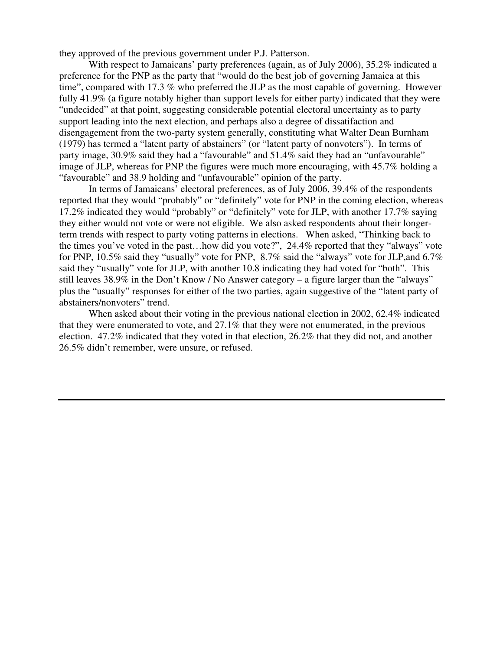they approved of the previous government under P.J. Patterson.

With respect to Jamaicans' party preferences (again, as of July 2006), 35.2% indicated a preference for the PNP as the party that "would do the best job of governing Jamaica at this time", compared with 17.3 % who preferred the JLP as the most capable of governing. However fully 41.9% (a figure notably higher than support levels for either party) indicated that they were "undecided" at that point, suggesting considerable potential electoral uncertainty as to party support leading into the next election, and perhaps also a degree of dissatifaction and disengagement from the two-party system generally, constituting what Walter Dean Burnham (1979) has termed a "latent party of abstainers" (or "latent party of nonvoters"). In terms of party image, 30.9% said they had a "favourable" and 51.4% said they had an "unfavourable" image of JLP, whereas for PNP the figures were much more encouraging, with 45.7% holding a "favourable" and 38.9 holding and "unfavourable" opinion of the party.

In terms of Jamaicans' electoral preferences, as of July 2006, 39.4% of the respondents reported that they would "probably" or "definitely" vote for PNP in the coming election, whereas 17.2% indicated they would "probably" or "definitely" vote for JLP, with another 17.7% saying they either would not vote or were not eligible. We also asked respondents about their longerterm trends with respect to party voting patterns in elections. When asked, "Thinking back to the times you've voted in the past…how did you vote?", 24.4% reported that they "always" vote for PNP, 10.5% said they "usually" vote for PNP, 8.7% said the "always" vote for JLP,and 6.7% said they "usually" vote for JLP, with another 10.8 indicating they had voted for "both". This still leaves 38.9% in the Don't Know / No Answer category – a figure larger than the "always" plus the "usually" responses for either of the two parties, again suggestive of the "latent party of abstainers/nonvoters" trend.

When asked about their voting in the previous national election in 2002, 62.4% indicated that they were enumerated to vote, and 27.1% that they were not enumerated, in the previous election. 47.2% indicated that they voted in that election, 26.2% that they did not, and another 26.5% didn't remember, were unsure, or refused.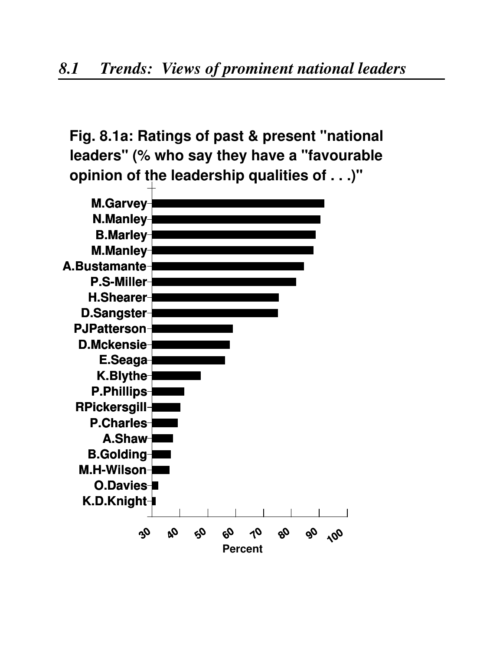**Fig. 8.1a: Ratings of past & present "national leaders" (% who say they have a "favourable opinion of the leadership qualities of . . .)"**

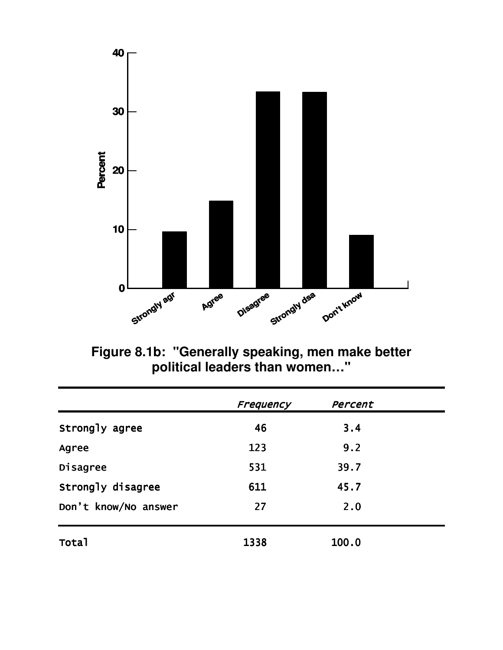

Figure 8.1b: "Generally speaking, men make better<br>political leaders than women..."

|                      | Frequency | Percent |  |
|----------------------|-----------|---------|--|
| Strongly agree       | 46        | 3.4     |  |
| Agree                | 123       | 9.2     |  |
| Disagree             | 531       | 39.7    |  |
| Strongly disagree    | 611       | 45.7    |  |
| Don't know/No answer | 27        | 2.0     |  |
| Total                | 1338      | 100.0   |  |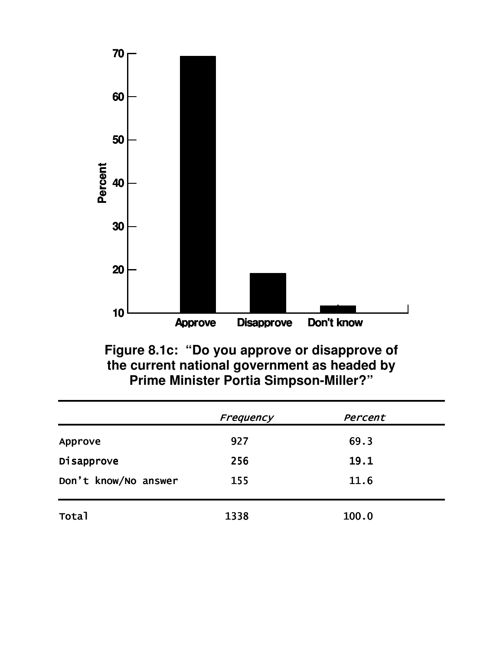

Figure 8.1c: "Do you approve or disapprove of<br>the current national government as headed by<br>Prime Minister Portia Simpson-Miller?"

|                      | Frequency | Percent |  |
|----------------------|-----------|---------|--|
| Approve              | 927       | 69.3    |  |
| Disapprove           | 256       | 19.1    |  |
| Don't know/No answer | 155       | 11.6    |  |
| Total                | 1338      | 100.0   |  |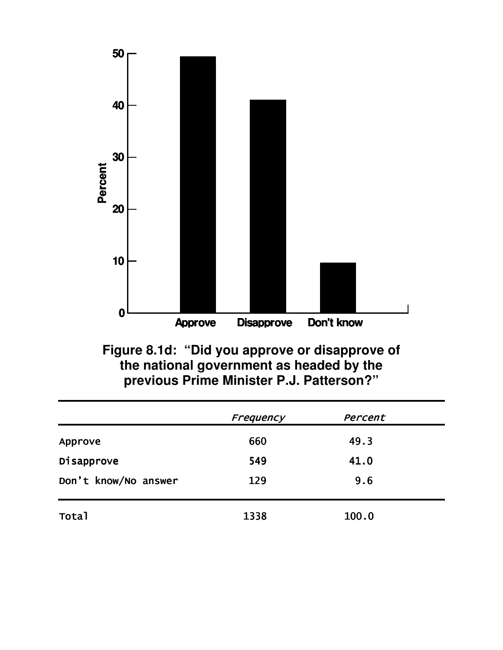

Figure 8.1d: "Did you approve or disapprove of the national government as headed by the<br>previous Prime Minister P.J. Patterson?"

|                      | Frequency | Percent |  |
|----------------------|-----------|---------|--|
| Approve              | 660       | 49.3    |  |
| Disapprove           | 549       | 41.0    |  |
| Don't know/No answer | 129       | 9.6     |  |
| <b>Total</b>         | 1338      | 100.0   |  |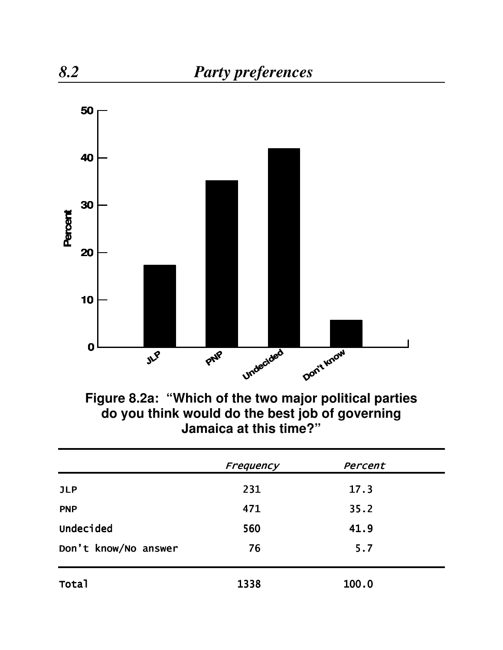

**Figure 8.2a: "Which of the two major political parties do you think would do the best job of governing Jamaica at this time?"**

|                      | Frequency | Percent |  |  |
|----------------------|-----------|---------|--|--|
| <b>JLP</b>           | 231       | 17.3    |  |  |
| <b>PNP</b>           | 471       | 35.2    |  |  |
| Undecided            | 560       | 41.9    |  |  |
| Don't know/No answer | 76        | 5.7     |  |  |
| Total                | 1338      | 100.0   |  |  |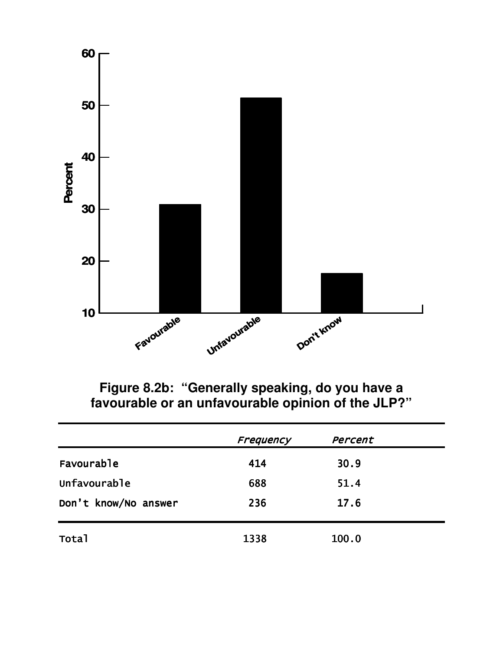

Figure 8.2b: "Generally speaking, do you have a favourable or an unfavourable opinion of the JLP?"

|                      | Frequency | Percent |  |
|----------------------|-----------|---------|--|
| Favourable           | 414       | 30.9    |  |
| Unfavourable         | 688       | 51.4    |  |
| Don't know/No answer | 236       | 17.6    |  |
| <b>Total</b>         | 1338      | 100.0   |  |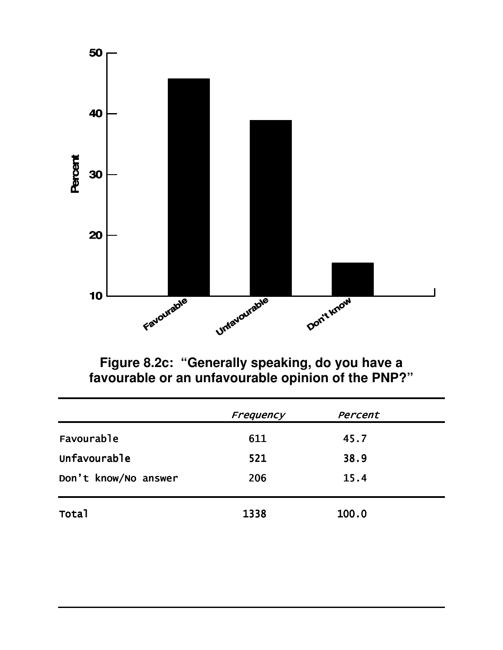

Figure 8.2c: "Generally speaking, do you have a<br>favourable or an unfavourable opinion of the PNP?"

|                      | Frequency | Percent |  |
|----------------------|-----------|---------|--|
| Favourable           | 611       | 45.7    |  |
| Unfavourable         | 521       | 38.9    |  |
| Don't know/No answer | 206       | 15.4    |  |
| <b>Total</b>         | 1338      | 100.0   |  |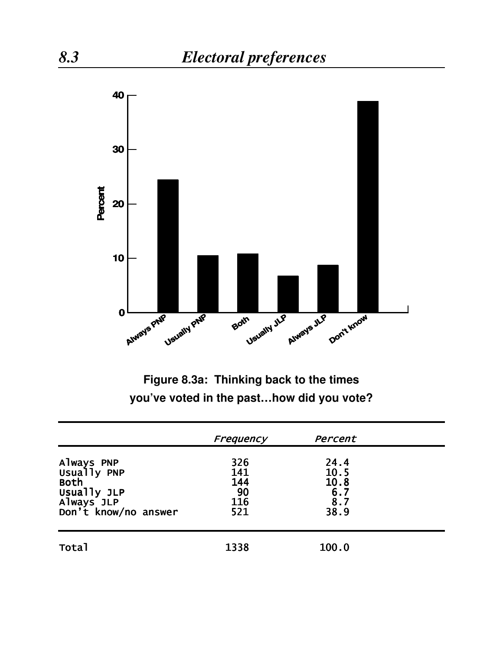

Figure 8.3a: Thinking back to the times you've voted in the past...how did you vote?

|                                                                                        | Frequency                             | Percent                                          |  |
|----------------------------------------------------------------------------------------|---------------------------------------|--------------------------------------------------|--|
| Always PNP<br>Usually PNP<br>Both<br>Usually JLP<br>Always JLP<br>Don't know/no answer | 326<br>141<br>144<br>90<br>116<br>521 | 24.4<br>10.5<br>10.8<br>$6.7$<br>$8.7$<br>$38.9$ |  |
| <b>Total</b>                                                                           | 1338                                  | 100.0                                            |  |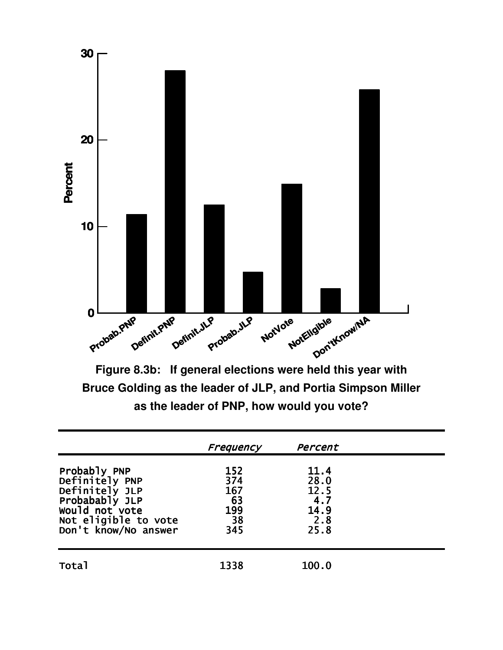

Bruce Golding as the leader of JLP, and Portia Simpson Miller as the leader of PNP, how would you vote?

|                                                                                                                                      | Frequency                                   | Percent                                            |  |
|--------------------------------------------------------------------------------------------------------------------------------------|---------------------------------------------|----------------------------------------------------|--|
| Probably PNP<br>Definitely PNP<br>Definitely JLP<br>Probabably JLP<br>would not vote<br>Not eligible to vote<br>Don't know/No answer | 152<br>374<br>167<br>63<br>199<br>38<br>345 | 11.4<br>28.0<br>12.5<br>4.7<br>14.9<br>2.8<br>25.8 |  |
| <b>Total</b>                                                                                                                         | 1338                                        | 100.0                                              |  |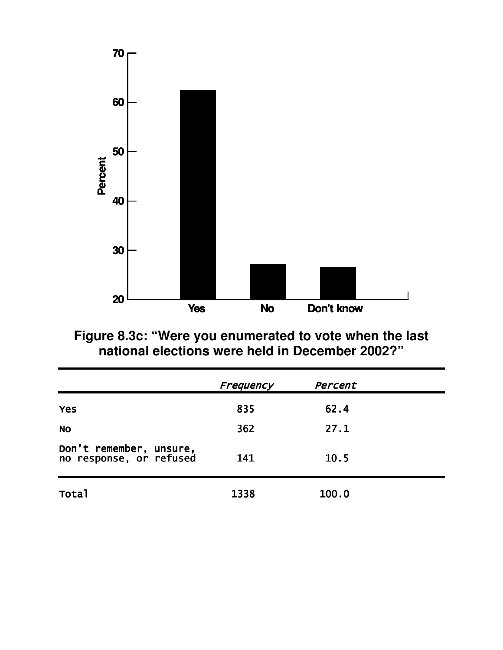

Figure 8.3c: "Were you enumerated to vote when the last<br>national elections were held in December 2002?"

|                                                    | Frequency | Percent |  |
|----------------------------------------------------|-----------|---------|--|
| <b>Yes</b>                                         | 835       | 62.4    |  |
| <b>NO</b>                                          | 362       | 27.1    |  |
| Don't remember, unsure,<br>no response, or refused | 141       | 10.5    |  |
| Total                                              | 1338      | 100.0   |  |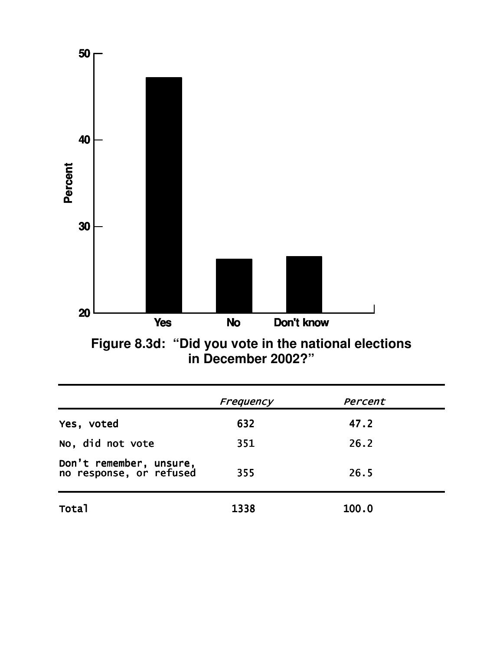

Figure 8.3d: "Did you vote in the national elections<br>in December 2002?"

|                                                    | Frequency | Percent |  |
|----------------------------------------------------|-----------|---------|--|
| Yes, voted                                         | 632       | 47.2    |  |
| No, did not vote                                   | 351       | 26.2    |  |
| Don't remember, unsure,<br>no response, or refused | 355       | 26.5    |  |
| Total                                              | 1338      | 100.0   |  |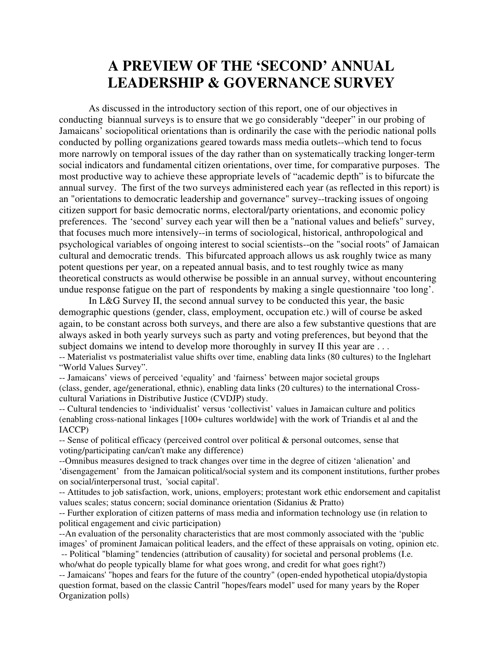## **A PREVIEW OF THE 'SECOND' ANNUAL LEADERSHIP & GOVERNANCE SURVEY**

As discussed in the introductory section of this report, one of our objectives in conducting biannual surveys is to ensure that we go considerably "deeper" in our probing of Jamaicans' sociopolitical orientations than is ordinarily the case with the periodic national polls conducted by polling organizations geared towards mass media outlets--which tend to focus more narrowly on temporal issues of the day rather than on systematically tracking longer-term social indicators and fundamental citizen orientations, over time, for comparative purposes. The most productive way to achieve these appropriate levels of "academic depth" is to bifurcate the annual survey. The first of the two surveys administered each year (as reflected in this report) is an "orientations to democratic leadership and governance" survey--tracking issues of ongoing citizen support for basic democratic norms, electoral/party orientations, and economic policy preferences. The 'second' survey each year will then be a "national values and beliefs" survey, that focuses much more intensively--in terms of sociological, historical, anthropological and psychological variables of ongoing interest to social scientists--on the "social roots" of Jamaican cultural and democratic trends. This bifurcated approach allows us ask roughly twice as many potent questions per year, on a repeated annual basis, and to test roughly twice as many theoretical constructs as would otherwise be possible in an annual survey, without encountering undue response fatigue on the part of respondents by making a single questionnaire 'too long'.

In L&G Survey II, the second annual survey to be conducted this year, the basic demographic questions (gender, class, employment, occupation etc.) will of course be asked again, to be constant across both surveys, and there are also a few substantive questions that are always asked in both yearly surveys such as party and voting preferences, but beyond that the subject domains we intend to develop more thoroughly in survey II this year are ... -- Materialist vs postmaterialist value shifts over time, enabling data links (80 cultures) to the Inglehart

"World Values Survey".

-- Jamaicans' views of perceived 'equality' and 'fairness' between major societal groups (class, gender, age/generational, ethnic), enabling data links (20 cultures) to the international Crosscultural Variations in Distributive Justice (CVDJP) study.

-- Cultural tendencies to 'individualist' versus 'collectivist' values in Jamaican culture and politics (enabling cross-national linkages [100+ cultures worldwide] with the work of Triandis et al and the IACCP)

 $\sim$ - Sense of political efficacy (perceived control over political & personal outcomes, sense that voting/participating can/can't make any difference)

--Omnibus measures designed to track changes over time in the degree of citizen 'alienation' and 'disengagement' from the Jamaican political/social system and its component institutions, further probes on social/interpersonal trust, 'social capital'.

-- Attitudes to job satisfaction, work, unions, employers; protestant work ethic endorsement and capitalist values scales; status concern; social dominance orientation (Sidanius & Pratto)

-- Further exploration of citizen patterns of mass media and information technology use (in relation to political engagement and civic participation)

--An evaluation of the personality characteristics that are most commonly associated with the 'public images' of prominent Jamaican political leaders, and the effect of these appraisals on voting, opinion etc. -- Political "blaming" tendencies (attribution of causality) for societal and personal problems (I.e. who/what do people typically blame for what goes wrong, and credit for what goes right?)

-- Jamaicans'"hopes and fears for the future of the country" (open-ended hypothetical utopia/dystopia question format, based on the classic Cantril "hopes/fears model" used for many years by the Roper Organization polls)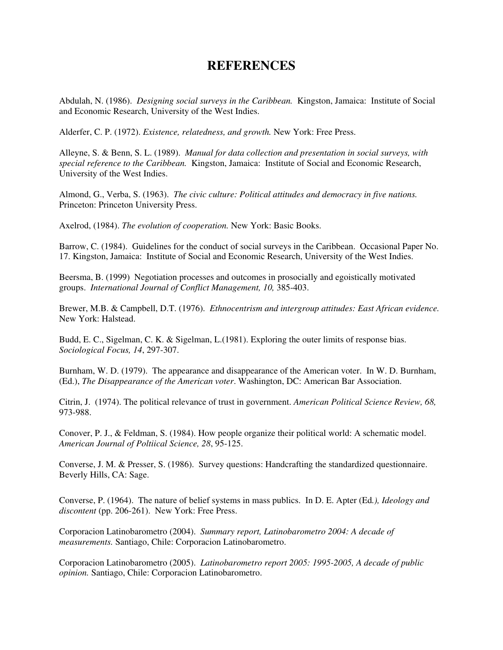## **REFERENCES**

Abdulah, N. (1986). *Designing social surveys in the Caribbean.* Kingston, Jamaica: Institute of Social and Economic Research, University of the West Indies.

Alderfer, C. P. (1972). *Existence, relatedness, and growth.* New York: Free Press.

Alleyne, S. & Benn, S. L. (1989). *Manual for data collection and presentation in social surveys, with special reference to the Caribbean.* Kingston, Jamaica: Institute of Social and Economic Research, University of the West Indies.

Almond, G., Verba, S. (1963). *The civic culture: Political attitudes and democracy in five nations.* Princeton: Princeton University Press.

Axelrod, (1984). *The evolution of cooperation.* New York: Basic Books.

Barrow, C. (1984). Guidelines for the conduct of social surveys in the Caribbean. Occasional Paper No. 17. Kingston, Jamaica: Institute of Social and Economic Research, University of the West Indies.

Beersma, B. (1999) Negotiation processes and outcomes in prosocially and egoistically motivated groups. *International Journal of Conflict Management, 10,* 385-403.

Brewer, M.B. & Campbell, D.T. (1976). *Ethnocentrism and intergroup attitudes: East African evidence.* New York: Halstead.

Budd, E. C., Sigelman, C. K. & Sigelman, L.(1981). Exploring the outer limits of response bias. *Sociological Focus, 14*, 297-307.

Burnham, W. D. (1979). The appearance and disappearance of the American voter. In W. D. Burnham, (Ed.), *The Disappearance of the American voter*. Washington, DC: American Bar Association.

Citrin, J. (1974). The political relevance of trust in government. *American Political Science Review, 68,* 973-988.

Conover, P. J., & Feldman, S. (1984). How people organize their political world: A schematic model. *American Journal of Poltiical Science, 28*, 95-125.

Converse, J. M. & Presser, S. (1986). Survey questions: Handcrafting the standardized questionnaire. Beverly Hills, CA: Sage.

Converse, P. (1964). The nature of belief systems in mass publics. In D. E. Apter (Ed*.), Ideology and discontent* (pp. 206-261). New York: Free Press.

Corporacion Latinobarometro (2004). *Summary report, Latinobarometro 2004: A decade of measurements.* Santiago, Chile: Corporacion Latinobarometro.

Corporacion Latinobarometro (2005). *Latinobarometro report 2005: 1995-2005, A decade of public opinion.* Santiago, Chile: Corporacion Latinobarometro.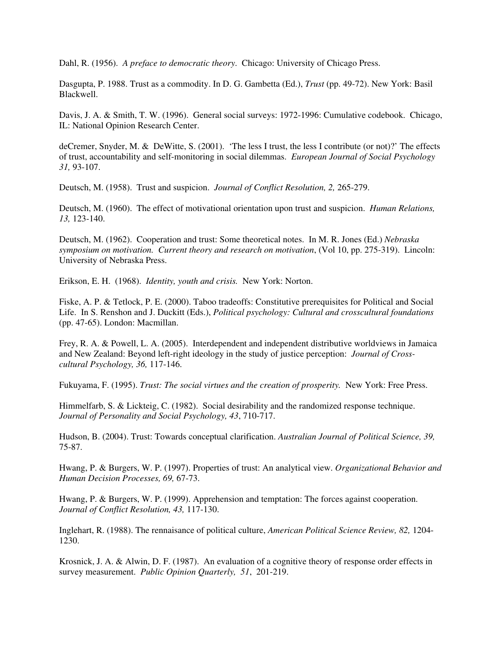Dahl, R. (1956). *A preface to democratic theory*. Chicago: University of Chicago Press.

Dasgupta, P. 1988. Trust as a commodity. In D. G. Gambetta (Ed.), *Trust* (pp. 49-72). New York: Basil Blackwell.

Davis, J. A. & Smith, T. W. (1996). General social surveys: 1972-1996: Cumulative codebook. Chicago, IL: National Opinion Research Center.

deCremer, Snyder, M. & DeWitte, S. (2001). 'The less I trust, the less I contribute (or not)?' The effects of trust, accountability and self-monitoring in social dilemmas. *European Journal of Social Psychology 31,* 93-107.

Deutsch, M. (1958). Trust and suspicion. *Journal of Conflict Resolution, 2,* 265-279.

Deutsch, M. (1960). The effect of motivational orientation upon trust and suspicion. *Human Relations, 13,* 123-140.

Deutsch, M. (1962). Cooperation and trust: Some theoretical notes. In M. R. Jones (Ed.) *Nebraska symposium on motivation. Current theory and research on motivation*, (Vol 10, pp. 275-319). Lincoln: University of Nebraska Press.

Erikson, E. H. (1968). *Identity, youth and crisis.* New York: Norton.

Fiske, A. P. & Tetlock, P. E. (2000). Taboo tradeoffs: Constitutive prerequisites for Political and Social Life. In S. Renshon and J. Duckitt (Eds.), *Political psychology: Cultural and crosscultural foundations* (pp. 47-65). London: Macmillan.

Frey, R. A. & Powell, L. A. (2005). Interdependent and independent distributive worldviews in Jamaica and New Zealand: Beyond left-right ideology in the study of justice perception: *Journal of Crosscultural Psychology, 36,* 117-146.

Fukuyama, F. (1995). *Trust: The social virtues and the creation of prosperity.* New York: Free Press.

Himmelfarb, S. & Lickteig, C. (1982). Social desirability and the randomized response technique. *Journal of Personality and Social Psychology, 43*, 710-717.

Hudson, B. (2004). Trust: Towards conceptual clarification. *Australian Journal of Political Science, 39,* 75-87.

Hwang, P. & Burgers, W. P. (1997). Properties of trust: An analytical view. *Organizational Behavior and Human Decision Processes, 69,* 67-73.

Hwang, P. & Burgers, W. P. (1999). Apprehension and temptation: The forces against cooperation. *Journal of Conflict Resolution, 43,* 117-130.

Inglehart, R. (1988). The rennaisance of political culture, *American Political Science Review, 82,* 1204- 1230.

Krosnick, J. A. & Alwin, D. F. (1987). An evaluation of a cognitive theory of response order effects in survey measurement. *Public Opinion Quarterly, 51*, 201-219.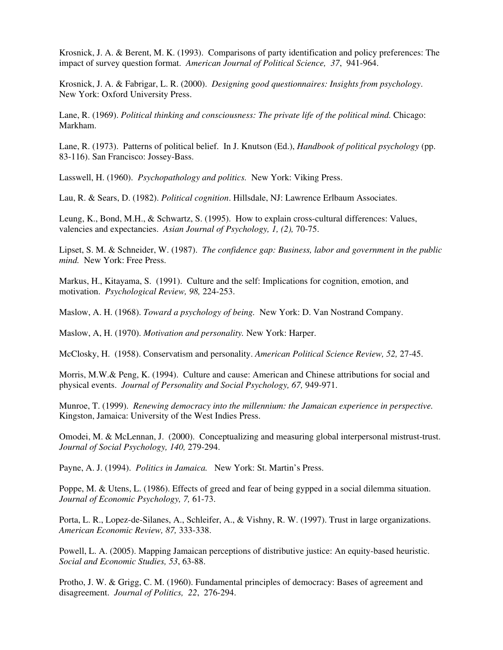Krosnick, J. A. & Berent, M. K. (1993). Comparisons of party identification and policy preferences: The impact of survey question format. *American Journal of Political Science, 37*, 941-964.

Krosnick, J. A. & Fabrigar, L. R. (2000). *Designing good questionnaires: Insights from psychology*. New York: Oxford University Press.

Lane, R. (1969). *Political thinking and consciousness: The private life of the political mind.* Chicago: Markham.

Lane, R. (1973). Patterns of political belief. In J. Knutson (Ed.), *Handbook of political psychology* (pp. 83-116). San Francisco: Jossey-Bass.

Lasswell, H. (1960). *Psychopathology and politics.* New York: Viking Press.

Lau, R. & Sears, D. (1982). *Political cognition*. Hillsdale, NJ: Lawrence Erlbaum Associates.

Leung, K., Bond, M.H., & Schwartz, S. (1995). How to explain cross-cultural differences: Values, valencies and expectancies. *Asian Journal of Psychology, 1, (2),* 70-75.

Lipset, S. M. & Schneider, W. (1987). *The confidence gap: Business, labor and government in the public mind.* New York: Free Press.

Markus, H., Kitayama, S. (1991). Culture and the self: Implications for cognition, emotion, and motivation. *Psychological Review, 98,* 224-253.

Maslow, A. H. (1968). *Toward a psychology of being.* New York: D. Van Nostrand Company.

Maslow, A, H. (1970). *Motivation and personality.* New York: Harper.

McClosky, H. (1958). Conservatism and personality. *American Political Science Review, 52,* 27-45.

Morris, M.W.& Peng, K. (1994). Culture and cause: American and Chinese attributions for social and physical events. *Journal of Personality and Social Psychology, 67,* 949-971.

Munroe, T. (1999). *Renewing democracy into the millennium: the Jamaican experience in perspective.* Kingston, Jamaica: University of the West Indies Press.

Omodei, M. & McLennan, J. (2000). Conceptualizing and measuring global interpersonal mistrust-trust. *Journal of Social Psychology, 140,* 279-294.

Payne, A. J. (1994). *Politics in Jamaica.* New York: St. Martin's Press.

Poppe, M. & Utens, L. (1986). Effects of greed and fear of being gypped in a social dilemma situation. *Journal of Economic Psychology, 7,* 61-73.

Porta, L. R., Lopez-de-Silanes, A., Schleifer, A., & Vishny, R. W. (1997). Trust in large organizations. *American Economic Review, 87,* 333-338.

Powell, L. A. (2005). Mapping Jamaican perceptions of distributive justice: An equity-based heuristic. *Social and Economic Studies, 53*, 63-88.

Protho, J. W. & Grigg, C. M. (1960). Fundamental principles of democracy: Bases of agreement and disagreement. *Journal of Politics, 22*, 276-294.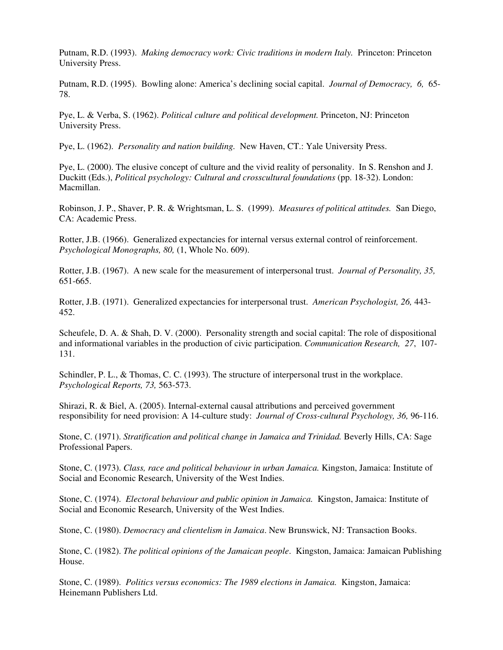Putnam, R.D. (1993). *Making democracy work: Civic traditions in modern Italy.* Princeton: Princeton University Press.

Putnam, R.D. (1995). Bowling alone: America's declining social capital. *Journal of Democracy, 6,* 65- 78.

Pye, L. & Verba, S. (1962). *Political culture and political development.* Princeton, NJ: Princeton University Press.

Pye, L. (1962). *Personality and nation building.* New Haven, CT.: Yale University Press.

Pye, L. (2000). The elusive concept of culture and the vivid reality of personality. In S. Renshon and J. Duckitt (Eds.), *Political psychology: Cultural and crosscultural foundations* (pp. 18-32). London: Macmillan.

Robinson, J. P., Shaver, P. R. & Wrightsman, L. S. (1999). *Measures of political attitudes.* San Diego, CA: Academic Press.

Rotter, J.B. (1966). Generalized expectancies for internal versus external control of reinforcement. *Psychological Monographs, 80,* (1, Whole No. 609).

Rotter, J.B. (1967). A new scale for the measurement of interpersonal trust. *Journal of Personality, 35,* 651-665.

Rotter, J.B. (1971). Generalized expectancies for interpersonal trust. *American Psychologist, 26,* 443- 452.

Scheufele, D. A. & Shah, D. V. (2000). Personality strength and social capital: The role of dispositional and informational variables in the production of civic participation. *Communication Research, 27*, 107- 131.

Schindler, P. L., & Thomas, C. C. (1993). The structure of interpersonal trust in the workplace. *Psychological Reports, 73,* 563-573.

Shirazi, R. & Biel, A. (2005). Internal-external causal attributions and perceived government responsibility for need provision: A 14-culture study: *Journal of Cross-cultural Psychology, 36,* 96-116.

Stone, C. (1971). *Stratification and political change in Jamaica and Trinidad.* Beverly Hills, CA: Sage Professional Papers.

Stone, C. (1973). *Class, race and political behaviour in urban Jamaica.* Kingston, Jamaica: Institute of Social and Economic Research, University of the West Indies.

Stone, C. (1974). *Electoral behaviour and public opinion in Jamaica.* Kingston, Jamaica: Institute of Social and Economic Research, University of the West Indies.

Stone, C. (1980). *Democracy and clientelism in Jamaica*. New Brunswick, NJ: Transaction Books.

Stone, C. (1982). *The political opinions of the Jamaican people*. Kingston, Jamaica: Jamaican Publishing House.

Stone, C. (1989). *Politics versus economics: The 1989 elections in Jamaica.* Kingston, Jamaica: Heinemann Publishers Ltd.